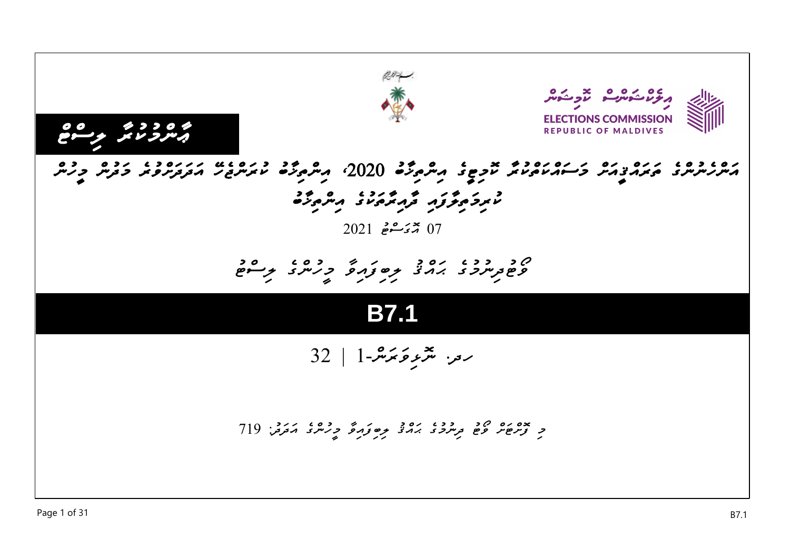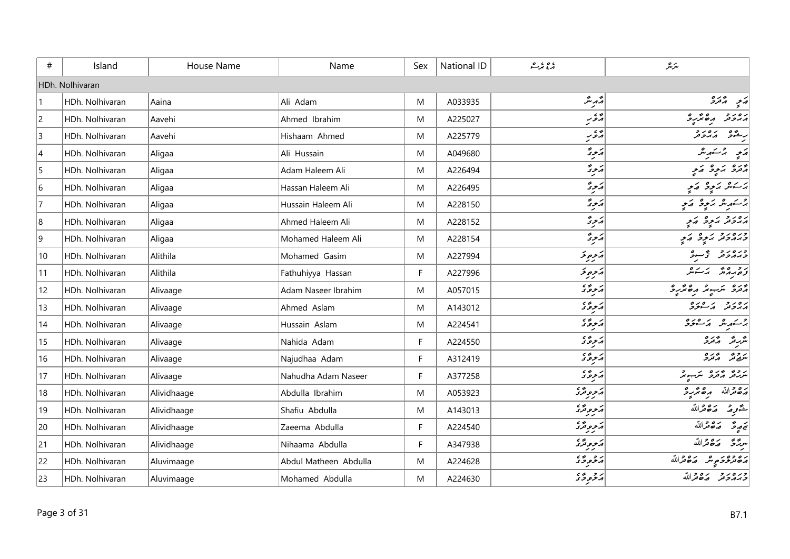| #              | Island          | House Name  | Name                  | Sex       | National ID | ، ه ، ره<br>د ، مرگ       | يترمثر                       |
|----------------|-----------------|-------------|-----------------------|-----------|-------------|---------------------------|------------------------------|
|                | HDh. Nolhivaran |             |                       |           |             |                           |                              |
|                | HDh. Nolhivaran | Aaina       | Ali Adam              | ${\sf M}$ | A033935     | لمجمريتنه                 | أەسمجە مەتىرى                |
| $\overline{c}$ | HDh. Nolhivaran | Aavehi      | Ahmed Ibrahim         | M         | A225027     | لمحتصر                    | أرور وه محمدة                |
| $\mathsf{3}$   | HDh. Nolhivaran | Aavehi      | Hishaam Ahmed         | M         | A225779     | لمجمحر                    | ریمنځو د برونر               |
| 4              | HDh. Nolhivaran | Aligaa      | Ali Hussain           | ${\sf M}$ | A049680     | أتزمزتم                   | أريب برستمريش                |
| 5              | HDh. Nolhivaran | Aligaa      | Adam Haleem Ali       | ${\sf M}$ | A226494     | بزيز                      | أرترو بروو كام               |
| $\sqrt{6}$     | HDh. Nolhivaran | Aligaa      | Hassan Haleem Ali     | ${\sf M}$ | A226495     | بزيرة                     | رَ رَ مَرَ رَ رِ وَ رَ رِ    |
| $\overline{7}$ | HDh. Nolhivaran | Aligaa      | Hussain Haleem Ali    | ${\sf M}$ | A228150     | بزيرة                     | إرجم ترابير والمحمد          |
| 8              | HDh. Nolhivaran | Aligaa      | Ahmed Haleem Ali      | ${\sf M}$ | A228152     | أتزمرته                   | ره رو رکوه کرم               |
| 9              | HDh. Nolhivaran | Aligaa      | Mohamed Haleem Ali    | M         | A228154     | أترمرتم                   | ورەرو روە دې                 |
| 10             | HDh. Nolhivaran | Alithila    | Mohamed Gasim         | M         | A227994     | لأعرجو فخه                |                              |
| 11             | HDh. Nolhivaran | Alithila    | Fathuhiyya Hassan     | F         | A227996     | وكمعروك                   | روه وعديك                    |
| 12             | HDh. Nolhivaran | Alivaage    | Adam Naseer Ibrahim   | ${\sf M}$ | A057015     | أتروح                     | أزرو سكب والمستحر            |
| 13             | HDh. Nolhivaran | Alivaage    | Ahmed Aslam           | ${\sf M}$ | A143012     | پەنوچ                     | أرور ومستوفر                 |
| 14             | HDh. Nolhivaran | Alivaage    | Hussain Aslam         | ${\sf M}$ | A224541     | أتروعه                    | ج سکه شده از مستور           |
| 15             | HDh. Nolhivaran | Alivaage    | Nahida Adam           | F         | A224550     | ەموەي                     | سَرَبِرَ ٱلۡرَّمَرُدُ        |
| 16             | HDh. Nolhivaran | Alivaage    | Najudhaa Adam         | F         | A312419     | ر و » ،<br>د نوره د       | ر وی مصره<br>سرچ تر مرکزو    |
| 17             | HDh. Nolhivaran | Alivaage    | Nahudha Adam Naseer   | F         | A377258     | أتروء                     | يردي المردي الكرسولي         |
| 18             | HDh. Nolhivaran | Alividhaage | Abdulla Ibrahim       | M         | A053923     | ړو وتره                   | أرَدَّ اللَّهُ مِنْ مَرْبِرْ |
| 19             | HDh. Nolhivaran | Alividhaage | Shafiu Abdulla        | M         | A143013     | پر وی ورځ                 | أشكور مكافرالله              |
| 20             | HDh. Nolhivaran | Alividhaage | Zaeema Abdulla        | F         | A224540     | ړو وتره                   | تجريرة تركاه تدالله          |
| 21             | HDh. Nolhivaran | Alividhaage | Nihaama Abdulla       | F         | A347938     | ړو وتره                   | سرجمة وكالمقاللة             |
| 22             | HDh. Nolhivaran | Aluvimaage  | Abdul Matheen Abdulla | M         | A224628     | د د په په<br>  د نومونو د | رە دورى ھەمداللە             |
| 23             | HDh. Nolhivaran | Aluvimaage  | Mohamed Abdulla       | M         | A224630     | رَ تَحْرُو تَرَ دَ        | وره رو ده مرکبالله           |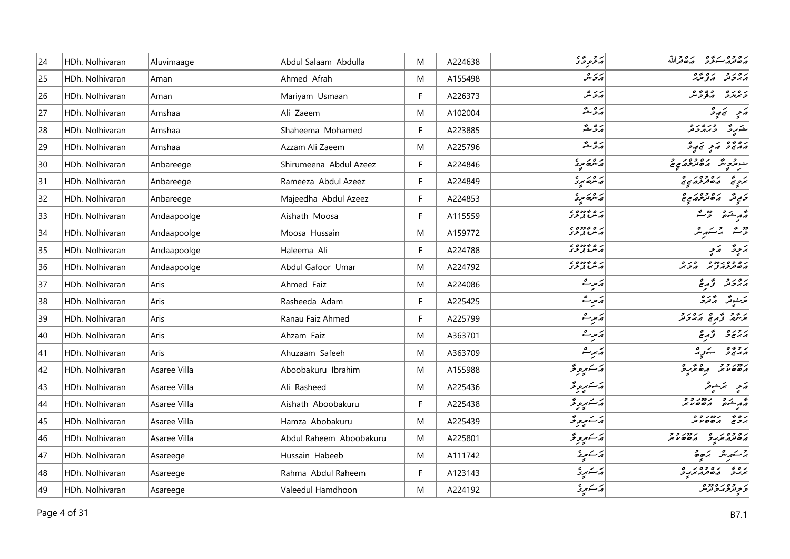| 24 | HDh. Nolhivaran | Aluvimaage   | Abdul Salaam Abdulla    | M  | A224638 | پر څري په                                       | رە دە بە ئەھەراللە                              |
|----|-----------------|--------------|-------------------------|----|---------|-------------------------------------------------|-------------------------------------------------|
| 25 | HDh. Nolhivaran | Aman         | Ahmed Afrah             | M  | A155498 | برىر ھ                                          | ره رو ده ده.<br>پرسرتر پرتومر                   |
| 26 | HDh. Nolhivaran | Aman         | Mariyam Usmaan          | F. | A226373 | برىر ھ                                          | ג פגם כם בים.<br>כינות כי הפלית                 |
| 27 | HDh. Nolhivaran | Amshaa       | Ali Zaeem               | M  | A102004 | رەپ                                             | $3.96$ $\frac{1}{2}$                            |
| 28 | HDh. Nolhivaran | Amshaa       | Shaheema Mohamed        | F  | A223885 | رەپ                                             | شررته وره دره<br>شرکت وبرادولر                  |
| 29 | HDh. Nolhivaran | Amshaa       | Azzam Ali Zaeem         | M  | A225796 | رەپ                                             |                                                 |
| 30 | HDh. Nolhivaran | Anbareege    | Shirumeena Abdul Azeez  | F  | A224846 | پر شرحه سره<br>  پر شرحه سره                    | شوند حيث ره ده د د                              |
| 31 | HDh. Nolhivaran | Anbareege    | Rameeza Abdul Azeez     | F  | A224849 | پر 20 پر ج<br>هر سرچ <i>ه پ</i> ر <sub>پر</sub> | بَرَجٍ بِمَ مَصْرُوْمَ بِمِ عَ                  |
| 32 | HDh. Nolhivaran | Anbareege    | Majeedha Abdul Azeez    | F  | A224853 | پر چې په په                                     | ر په ده ده ده د په و                            |
| 33 | HDh. Nolhivaran | Andaapoolge  | Aishath Moosa           | F. | A115559 | ر ۵ ۶۶ وه ٢<br>د سره بوموړ                      | و در در در در در در در کند باشتر<br>مراجع در سر |
| 34 | HDh. Nolhivaran | Andaapoolge  | Moosa Hussain           | M  | A159772 | ر ۵ ۶۶ وه ۵<br>د سره بو مرد                     | دژ شه پژسته پر                                  |
| 35 | HDh. Nolhivaran | Andaapoolge  | Haleema Ali             | F  | A224788 | ر ۵ ۶۶۵ و.<br>پرسره بوموړ                       | پَنځِ تَرٌ = دَرِ حِ                            |
| 36 | HDh. Nolhivaran | Andaapoolge  | Abdul Gafoor Umar       | M  | A224792 | ر ۵ ۶۶۵ و.<br>پرس بې مر                         | גם כסגדר - כגב<br>השינתוני הכינ                 |
| 37 | HDh. Nolhivaran | Aris         | Ahmed Faiz              | M  | A224086 | رئىرىشە                                         | أرور و و و                                      |
| 38 | HDh. Nolhivaran | Aris         | Rasheeda Adam           | F  | A225425 | وسمرت                                           | يَرَسْوِيْرُ   دُيَرَةَ                         |
| 39 | HDh. Nolhivaran | Aris         | Ranau Faiz Ahmed        | F. | A225799 | وسمرت                                           | برشم توریح مدود                                 |
| 40 | HDh. Nolhivaran | Aris         | Ahzam Faiz              | M  | A363701 | وببرعه                                          | پر جي جي<br>تٌر مع                              |
| 41 | HDh. Nolhivaran | Aris         | Ahuzaam Safeeh          | M  | A363709 | رئىرىشە                                         | ر دوه د کرد و                                   |
| 42 | HDh. Nolhivaran | Asaree Villa | Aboobakuru Ibrahim      | M  | A155988 | ۇ سەمبەھ قر<br>ئ                                | ەھ ترىر ۋ<br>נ בנג כ כ<br>גם סיט זק             |
| 43 | HDh. Nolhivaran | Asaree Villa | Ali Rasheed             | M  | A225436 | ە سەمبەء قە                                     | أرشح المراشوقر                                  |
| 44 | HDh. Nolhivaran | Asaree Villa | Aishath Aboobakuru      | F  | A225438 | ە سەئىرە بۇ<br>ئ                                | 22/32/22/23                                     |
| 45 | HDh. Nolhivaran | Asaree Villa | Hamza Abobakuru         | M  | A225439 | ە سەمدە ۋ                                       | נים נחתנים                                      |
| 46 | HDh. Nolhivaran | Asaree Villa | Abdul Raheem Aboobakuru | M  | A225801 | ە سەئىرە ۋ<br>سىسىمىسى                          | גם כם גם נכחב כב<br>הסטה ההב הססטיה             |
| 47 | HDh. Nolhivaran | Asareege     | Hussain Habeeb          | M  | A111742 | ېر کے بىرى<br>ئ                                 | بر کرمر کرده                                    |
| 48 | HDh. Nolhivaran | Asareege     | Rahma Abdul Raheem      | F. | A123143 | ېر کے بیری<br>پ                                 | بره و<br>ره ده ر<br>د ه ترد بربر د              |
| 49 | HDh. Nolhivaran | Asareege     | Valeedul Hamdhoon       | M  | A224192 | ېر کے بیری<br>پ                                 | ر وورود <u>وه</u><br>قرمز درومز                 |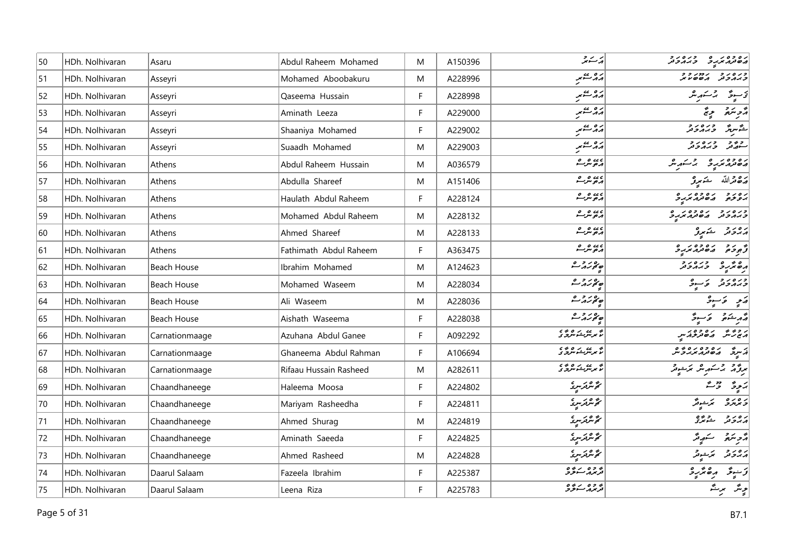| 50 | HDh. Nolhivaran | Asaru              | Abdul Raheem Mohamed   | M         | A150396 | برسە يېر                                 | קסיקה מקדי פריטקיק<br>הסיקה מקדי פריטפיק         |
|----|-----------------|--------------------|------------------------|-----------|---------|------------------------------------------|--------------------------------------------------|
| 51 | HDh. Nolhivaran | Asseyri            | Mohamed Aboobakuru     | M         | A228996 | برە يىمىر                                | כנסנכ נחנכב<br>בגתכת תםסטית                      |
| 52 | HDh. Nolhivaran | Asseyri            | Qaseema Hussain        | F         | A228998 | لهره يحمير                               | تۇسوق برگسىرىنگر                                 |
| 53 | HDh. Nolhivaran | Asseyri            | Aminath Leeza          | F         | A229000 | لره يىمبر                                | أثرم يتمدح<br>حريج                               |
| 54 | HDh. Nolhivaran | Asseyri            | Shaaniya Mohamed       | F         | A229002 | لروعيمر                                  | و رە ر د<br><i>د ب</i> ەر تر<br>ے مورگر<br>مشاہد |
| 55 | HDh. Nolhivaran | Asseyri            | Suaadh Mohamed         | M         | A229003 | لروييمر                                  | روپور وره رو                                     |
| 56 | HDh. Nolhivaran | Athens             | Abdul Raheem Hussain   | M         | A036579 | ، <i>، ، ه ره</i>                        | גם כפגב גבית.                                    |
| 57 | HDh. Nolhivaran | Athens             | Abdulla Shareef        | ${\sf M}$ | A151406 | پر پر مرت <sub>ب</sub>                   | برە قراللە ھەمرىر                                |
| 58 | HDh. Nolhivaran | Athens             | Haulath Abdul Raheem   | F         | A228124 | ى يە ھ <sub>ە</sub> ر ھ                  | נ סני כן נסיכם נגם.<br>מפיצים נמשינות ממב        |
| 59 | HDh. Nolhivaran | Athens             | Mohamed Abdul Raheem   | M         | A228132 | ، <i>په ه ره</i>                         | כממכני מסינות הבי                                |
| 60 | HDh. Nolhivaran | Athens             | Ahmed Shareef          | M         | A228133 | ، <i>پره هر</i><br>مرحومترگ              | پره رو په شوموړي                                 |
| 61 | HDh. Nolhivaran | Athens             | Fathimath Abdul Raheem | F         | A363475 | ې پره ه<br>مرحومتر ک                     | و د د ده ده د ه                                  |
| 62 | HDh. Nolhivaran | <b>Beach House</b> | Ibrahim Mohamed        | M         | A124623 | ھەممەر 2 ھ                               | دە ئەرەر دىرەر                                   |
| 63 | HDh. Nolhivaran | <b>Beach House</b> | Mohamed Waseem         | ${\sf M}$ | A228034 | <br> حديد مرد حد                         |                                                  |
| 64 | HDh. Nolhivaran | <b>Beach House</b> | Ali Waseem             | M         | A228036 | ھەمجەر مەھ                               | أة يو غرسوفر                                     |
| 65 | HDh. Nolhivaran | <b>Beach House</b> | Aishath Waseema        | F         | A228038 | ە ئۇ ئەمر م                              |                                                  |
| 66 | HDh. Nolhivaran | Carnationmaage     | Azuhana Abdul Ganee    | F         | A092292 | رم پر پره وي.<br>تا بر سرشو سرچ ي        | ر دو شهر ره ده در سر                             |
| 67 | HDh. Nolhivaran | Carnationmaage     | Ghaneema Abdul Rahman  | F         | A106694 | ر میں بھی دیا ہے<br>مائیں بھی بھی توجہ ی | ز سر ده ده ده ده و                               |
| 68 | HDh. Nolhivaran | Carnationmaage     | Rifaau Hussain Rasheed | M         | A282611 | رم په په د هغه د و د کا                  | برؤكم بركتيرنكر برسوكر                           |
| 69 | HDh. Nolhivaran | Chaandhaneege      | Haleema Moosa          | F         | A224802 | ى<br>ئۇسرىرى <i>سى</i>                   |                                                  |
| 70 | HDh. Nolhivaran | Chaandhaneege      | Mariyam Rasheedha      | F         | A224811 | ىچە ئىرتى <i>ر س</i> و <sup>ي</sup>      | و ه ده مر مر مر                                  |
| 71 | HDh. Nolhivaran | Chaandhaneege      | Ahmed Shurag           | M         | A224819 | ىچە ئىرتى <i>ر س<sub>ى</sub></i> كە      | ره رحس در ده.<br>درگار در مشویزی                 |
| 72 | HDh. Nolhivaran | Chaandhaneege      | Aminath Saeeda         | F         | A224825 | ى<br>ئۇنىرى <i>زىرى</i>                  | أزويتم كاميتر                                    |
| 73 | HDh. Nolhivaran | Chaandhaneege      | Ahmed Rasheed          | M         | A224828 | ىچە ئىرتى <i>ر س</i> ېرىگە               | پرورو کردونر                                     |
| 74 | HDh. Nolhivaran | Daarul Salaam      | Fazeela Ibrahim        | F         | A225387 | ه وه رر ده<br>تربر پر سنوگ               | ەرھەترىرى<br>ر<br>ۇ خەنۇ                         |
| 75 | HDh. Nolhivaran | Daarul Salaam      | Leena Riza             | F         | A225783 | پر وه ر ر په ه<br>تربر پر سکوگر          | ا پریگر اسریک<br>اوپکر اسریک                     |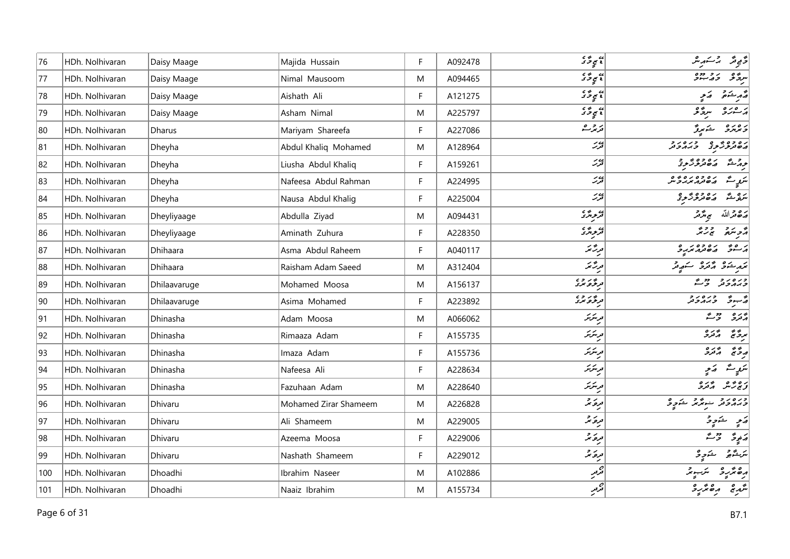| 76  | HDh. Nolhivaran | Daisy Maage  | Majida Hussain        | F  | A092478 | پی پی تر <sup>2</sup>     | دَّىمِ مَّرْ سَهْرِ مَّرْ ا         |
|-----|-----------------|--------------|-----------------------|----|---------|---------------------------|-------------------------------------|
| 77  | HDh. Nolhivaran | Daisy Maage  | Nimal Mausoom         | M  | A094465 | ،<br>پاسم پر در           | اسرچهو<br>ر د ده ه<br>د پرسور       |
| 78  | HDh. Nolhivaran | Daisy Maage  | Aishath Ali           | F  | A121275 | نه موځونه<br>په موځونه    |                                     |
| 79  | HDh. Nolhivaran | Daisy Maage  | Asham Nimal           | M  | A225797 | ، په پرې<br>منځ ترن       | بزعزى<br>سردگر                      |
| 80  | HDh. Nolhivaran | Dharus       | Mariyam Shareefa      | F  | A227086 | ىر بر مە                  | شەمرۇ<br>ويوبره                     |
| 81  | HDh. Nolhivaran | Dheyha       | Abdul Khaliq Mohamed  | M  | A128964 | یے مر<br>قوتر             | גם כסתוב כנסגב<br>השנתבתוב בגהבת    |
| 82  | HDh. Nolhivaran | Dheyha       | Liusha Abdul Khaliq   | F  | A159261 | یر<br>تور                 | ورث رە دەنجو                        |
| 83  | HDh. Nolhivaran | Dheyha       | Nafeesa Abdul Rahman  | F  | A224995 | ىدىر<br>قىرىر             | سكر شيم مده وه د و د ه              |
| 84  | HDh. Nolhivaran | Dheyha       | Nausa Abdul Khalig    | F  | A225004 | ىدىر<br>قىرت              | برە ئەھەر ئەرە                      |
| 85  | HDh. Nolhivaran | Dheyliyaage  | Abdulla Ziyad         | M  | A094431 | ء،<br>مرمز پر             | أَرَى قَرْاللَّهُ بِمُحْمَّدَ       |
| 86  | HDh. Nolhivaran | Dheyliyaage  | Aminath Zuhura        | F. | A228350 | ن عروشر<br>  قرمز جر      | أأروسكم المحارجر                    |
| 87  | HDh. Nolhivaran | Dhihaara     | Asma Abdul Raheem     | F  | A040117 | قرر حمد                   | 202020 2021                         |
| 88  | HDh. Nolhivaran | Dhihaara     | Raisham Adam Saeed    | M  | A312404 | امر محتجه                 | بمرمشن كالمرو سنهار                 |
| 89  | HDh. Nolhivaran | Dhilaavaruge | Mohamed Moosa         | M  | A156137 | ا پرڅه تر و <sup>ج</sup>  | ورەرو دوغ                           |
| 90  | HDh. Nolhivaran | Dhilaavaruge | Asima Mohamed         | F  | A223892 | و څو ځو د ه<br>د څرگو موم | و رە ر د<br>تر پر تر تر<br>ړ ښېږ شر |
| 91  | HDh. Nolhivaran | Dhinasha     | Adam Moosa            | M  | A066062 | ورسرتر                    | وره دورو<br>مرکز و                  |
| 92  | HDh. Nolhivaran | Dhinasha     | Rimaaza Adam          | F  | A155735 | ومترتز                    | برڈیج<br>پور ہ<br>مرفرو             |
| 93  | HDh. Nolhivaran | Dhinasha     | Imaza Adam            | F. | A155736 | ويتزيز                    |                                     |
| 94  | HDh. Nolhivaran | Dhinasha     | Nafeesa Ali           | F. | A228634 | ويتزيز                    |                                     |
| 95  | HDh. Nolhivaran | Dhinasha     | Fazuhaan Adam         | M  | A228640 | امریزیز                   | ترج محرش المرتزى                    |
| 96  | HDh. Nolhivaran | Dhivaru      | Mohamed Zirar Shameem | M  | A226828 | مریح تر                   |                                     |
| 97  | HDh. Nolhivaran | Dhivaru      | Ali Shameem           | M  | A229005 | مریح تر                   |                                     |
| 98  | HDh. Nolhivaran | Dhivaru      | Azeema Moosa          | F  | A229006 | مریح تر                   |                                     |
| 99  | HDh. Nolhivaran | Dhivaru      | Nashath Shameem       | F  | A229012 | مریحہ مر                  |                                     |
| 100 | HDh. Nolhivaran | Dhoadhi      | Ibrahim Naseer        | M  | A102886 | لصحيح                     |                                     |
| 101 | HDh. Nolhivaran | Dhoadhi      | Naaiz Ibrahim         | M  | A155734 | م<br>توفر                 |                                     |
|     |                 |              |                       |    |         |                           |                                     |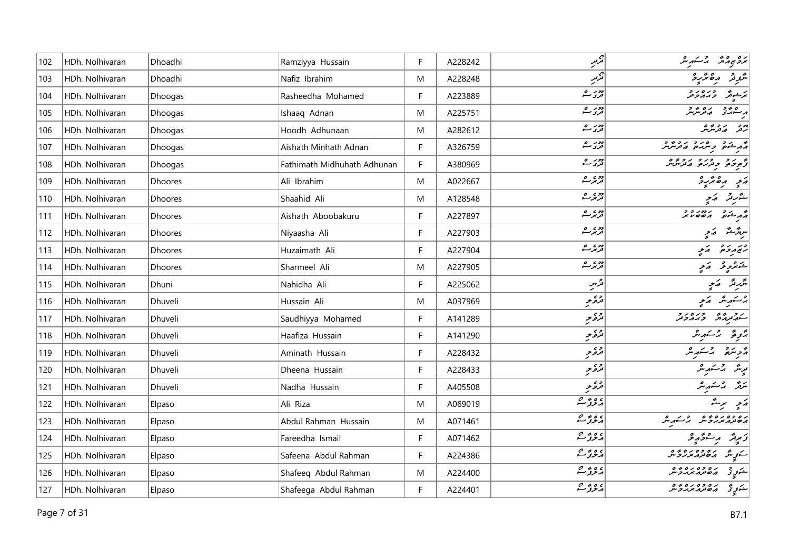| 102 | HDh. Nolhivaran | Dhoadhi        | Ramziyya Hussain            | F  | A228242 | اچھور               | بروبرمروش برسكرمر                                |
|-----|-----------------|----------------|-----------------------------|----|---------|---------------------|--------------------------------------------------|
| 103 | HDh. Nolhivaran | Dhoadhi        | Nafiz Ibrahim               | M  | A228248 | لقمعر               | شروز مەھمىر                                      |
| 104 | HDh. Nolhivaran | Dhoogas        | Rasheedha Mohamed           | F  | A223889 | ود پر ہے<br>تو پی ک | و رە ر د<br><i>د بە</i> د تر<br>ىر<br>مەسىمەتىر  |
| 105 | HDh. Nolhivaran | Dhoogas        | Ishaaq Adnan                | M  | A225751 | ود پر ہے<br>تو پی ک | مەسىرىق مەقرىترىتر                               |
| 106 | HDh. Nolhivaran | Dhoogas        | Hoodh Adhunaan              | M  | A282612 | ود پر ہے<br>تسری ک  | دو بروه مه<br>رس ماند شر                         |
| 107 | HDh. Nolhivaran | Dhoogas        | Aishath Minhath Adnan       | F  | A326759 | دد بر ح<br>تعری ک   | د در د و ۱۶۷۵ و د و د                            |
| 108 | HDh. Nolhivaran | Dhoogas        | Fathimath Midhuhath Adhunan | F  | A380969 | ودىر ھ              | وتجوخته وتربره مترشر                             |
| 109 | HDh. Nolhivaran | <b>Dhoores</b> | Ali Ibrahim                 | M  | A022667 | دد ، م<br>تربر ک    | أوسم المعتبدة                                    |
| 110 | HDh. Nolhivaran | <b>Dhoores</b> | Shaahid Ali                 | M  | A128548 | دد ۽ ه<br>تريز ڪ    | ڪ پر پر<br>س<br>ەكىپىيە                          |
| 111 | HDh. Nolhivaran | <b>Dhoores</b> | Aishath Aboobakuru          | F  | A227897 | ود ۽ ه              | 77/77/7<br>و مر شو د<br>مر                       |
| 112 | HDh. Nolhivaran | <b>Dhoores</b> | Niyaasha Ali                | F  | A227903 | دو ۽ ه              | سرمرشته<br>ەتىر                                  |
| 113 | HDh. Nolhivaran | <b>Dhoores</b> | Huzaimath Ali               | F  | A227904 | ود ۽ ه              | ريم پر څخه                                       |
| 114 | HDh. Nolhivaran | <b>Dhoores</b> | Sharmeel Ali                | M  | A227905 | دد ،<br>تربر ک      | ے پڑ <sub>و تو</sub> ثر<br>ەتىر                  |
| 115 | HDh. Nolhivaran | Dhuni          | Nahidha Ali                 | F  | A225062 | قرسر                | شريق الأمي                                       |
| 116 | HDh. Nolhivaran | Dhuveli        | Hussain Ali                 | M  | A037969 | قرة محر             | برسكهر شركونج                                    |
| 117 | HDh. Nolhivaran | Dhuveli        | Saudhiyya Mohamed           | F  | A141289 | فرة محر             | הכנסת כנסנים                                     |
| 118 | HDh. Nolhivaran | Dhuveli        | Haafiza Hussain             | F. | A141290 | قرة محر             | يُرُوِيُّ يُرْسَمْرِيْرُ                         |
| 119 | HDh. Nolhivaran | Dhuveli        | Aminath Hussain             | F  | A228432 | قرة محر             | أوجدة بالتنهاش                                   |
| 120 | HDh. Nolhivaran | Dhuveli        | Dheena Hussain              | F  | A228433 | قرءً محر            | مریگر الرکسکوریٹر                                |
| 121 | HDh. Nolhivaran | Dhuveli        | Nadha Hussain               | F. | A405508 | قرء مر              | ىرقە ئەسكەنلى                                    |
| 122 | HDh. Nolhivaran | Elpaso         | Ali Riza                    | M  | A069019 | اندویں              | أيزموا المرستة                                   |
| 123 | HDh. Nolhivaran | Elpaso         | Abdul Rahman Hussain        | M  | A071461 | وووي                |                                                  |
| 124 | HDh. Nolhivaran | Elpaso         | Fareedha Ismail             | F  | A071462 | پرویژ م             | ترىپىتر بەستىۋېرى                                |
| 125 | HDh. Nolhivaran | Elpaso         | Safeena Abdul Rahman        | F  | A224386 | اندوژ م             | ر ه و ه ر ه د ه<br>پره تر پر پر تر س<br> سەرپەش  |
| 126 | HDh. Nolhivaran | Elpaso         | Shafeeq Abdul Rahman        | M  | A224400 | پروپژ م             | ر ه د ه ر ه د ه<br>پره تر پر پر تر س<br>ستورٍ تو |
| 127 | HDh. Nolhivaran | Elpaso         | Shafeega Abdul Rahman       | F. | A224401 | وووي                | شَرَوٍ يَا صَحْمَدَ مِرْمَدَ حَمَدَ              |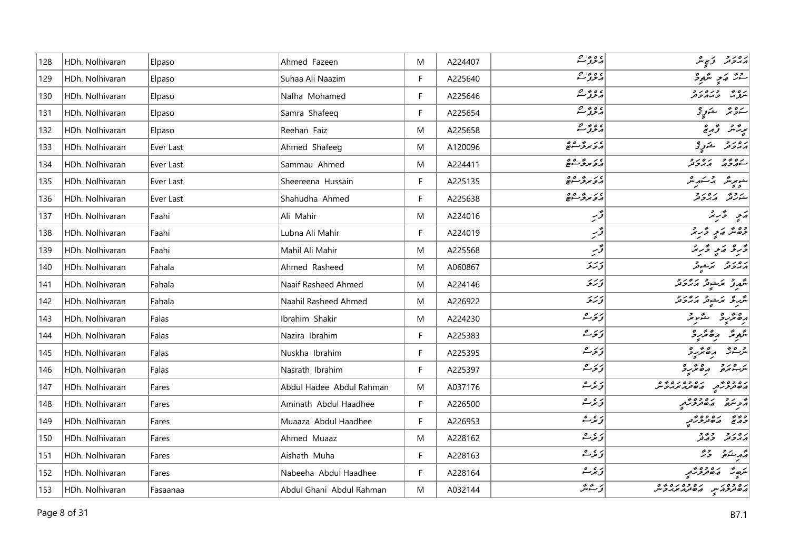| 128 | HDh. Nolhivaran | Elpaso    | Ahmed Fazeen             | M         | A224407 | پروپژ م                      | پروتر کی پر                       |
|-----|-----------------|-----------|--------------------------|-----------|---------|------------------------------|-----------------------------------|
| 129 | HDh. Nolhivaran | Elpaso    | Suhaa Ali Naazim         | F         | A225640 | ې وی <sub>ن</sub> م          |                                   |
| 130 | HDh. Nolhivaran | Elpaso    | Nafha Mohamed            | F         | A225646 | ە دېۋى                       | ره وره رو<br>سرگ وبرمان           |
| 131 | HDh. Nolhivaran | Elpaso    | Samra Shafeeq            | F         | A225654 | اندوژ م                      | سەۋىگە سەرىي                      |
| 132 | HDh. Nolhivaran | Elpaso    | Reehan Faiz              | ${\sf M}$ | A225658 | پروپژ م                      | بريژنتر تؤريج                     |
| 133 | HDh. Nolhivaran | Ever Last | Ahmed Shafeeg            | M         | A120096 | ى بە بەرگە ھ<br>مەن ئەرگە سى | رەرد شرې                          |
| 134 | HDh. Nolhivaran | Ever Last | Sammau Ahmed             | M         | A224411 | ى ئەسرىۋىسى<br>مەمۇرىسى      | رەپ دەرد                          |
| 135 | HDh. Nolhivaran | Ever Last | Sheereena Hussain        | F         | A225135 | ى ئەرگەر 2 <sub>9</sub>      | هېږېد د جسکه پر                   |
| 136 | HDh. Nolhivaran | Ever Last | Shahudha Ahmed           | F         | A225638 | ى ئە ئەرگەت<br>مەنزىر ئىس    | شەرقە بەرەر د                     |
| 137 | HDh. Nolhivaran | Faahi     | Ali Mahir                | M         | A224016 | ائچ<br>سر                    | پر په د څر پر                     |
| 138 | HDh. Nolhivaran | Faahi     | Lubna Ali Mahir          | F         | A224019 | $\frac{1}{2}$                | وه پر وربر                        |
| 139 | HDh. Nolhivaran | Faahi     | Mahil Ali Mahir          | M         | A225568 | ۇر                           | وحرو وسي وحريمه                   |
| 140 | HDh. Nolhivaran | Fahala    | Ahmed Rasheed            | M         | A060867 | ۇزى                          | رەرد ئرشونر                       |
| 141 | HDh. Nolhivaran | Fahala    | Naaif Rasheed Ahmed      | M         | A224146 | تزترى                        | شرق ترجعتر مهادم                  |
| 142 | HDh. Nolhivaran | Fahala    | Naahil Rasheed Ahmed     | M         | A226922 | قرترى                        | تركز ترسونه مددنه                 |
| 143 | HDh. Nolhivaran | Falas     | Ibrahim Shakir           | M         | A224230 | ۇ ئۆرك                       | وە ئەر ئىسىر                      |
| 144 | HDh. Nolhivaran | Falas     | Nazira Ibrahim           | F         | A225383 | ۇ ئۆر شە                     | شَعِبةً مِنْ يَحْرِدُ             |
| 145 | HDh. Nolhivaran | Falas     | Nuskha Ibrahim           | F         | A225395 | ۇ ئۇر                        | يرجد رەممىر                       |
| 146 | HDh. Nolhivaran | Falas     | Nasrath Ibrahim          | F         | A225397 | ۇ ئۇرى                       | ترجعهم وهغربر                     |
| 147 | HDh. Nolhivaran | Fares     | Abdul Hadee Abdul Rahman | M         | A037176 | ترتزرهه                      | ره وه و مرده وه بره وه به د       |
| 148 | HDh. Nolhivaran | Fares     | Aminath Abdul Haadhee    | F         | A226500 | ىر ئەر ھ                     | أأرجع المقتر والمحاربي            |
| 149 | HDh. Nolhivaran | Fares     | Muaaza Abdul Haadhee     | F         | A226953 | ىر ، ھ<br>يۈرىشە             | وموم ره وه و.<br>د چې پر د ورور د |
| 150 | HDh. Nolhivaran | Fares     | Ahmed Muaaz              | ${\sf M}$ | A228162 | ر پر ہ                       | ره رو ووو<br>مەرىر رەم            |
| 151 | HDh. Nolhivaran | Fares     | Aishath Muha             | F         | A228163 | ر پر ہ                       | أورشنمو وقر                       |
| 152 | HDh. Nolhivaran | Fares     | Nabeeha Abdul Haadhee    | F         | A228164 | ئە ئەر ھ                     | بتهاش بالمعاصر والمحركة والمحمد   |
| 153 | HDh. Nolhivaran | Fasaanaa  | Abdul Ghani Abdul Rahman | M         | A032144 | ۇ شەئىر                      | נסכסנג נסכסנסגם                   |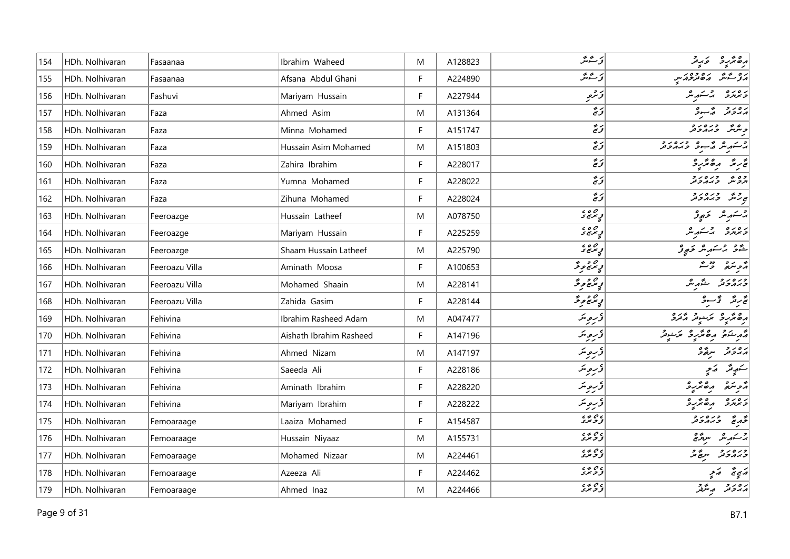| 154 | HDh. Nolhivaran | Fasaanaa       | Ibrahim Waheed          | M  | A128823 | ۇ سەمىگە                              | رەپرىي <sub>كەبى</sub> ر                                             |
|-----|-----------------|----------------|-------------------------|----|---------|---------------------------------------|----------------------------------------------------------------------|
| 155 | HDh. Nolhivaran | Fasaanaa       | Afsana Abdul Ghani      | F. | A224890 | ۇ ئەشر                                | رە مەسىرە دەرىپر<br>مۇسىر مەھرىمەس                                   |
| 156 | HDh. Nolhivaran | Fashuvi        | Mariyam Hussain         | F. | A227944 | ترتره                                 | גפנים הביתית                                                         |
| 157 | HDh. Nolhivaran | Faza           | Ahmed Asim              | M  | A131364 | ترتج                                  | גם גב הבייב                                                          |
| 158 | HDh. Nolhivaran | Faza           | Minna Mohamed           | F  | A151747 | ترتج                                  | ومرش ورەرو                                                           |
| 159 | HDh. Nolhivaran | Faza           | Hussain Asim Mohamed    | M  | A151803 | ترتج                                  |                                                                      |
| 160 | HDh. Nolhivaran | Faza           | Zahira Ibrahim          | F  | A228017 | ترتج                                  | لتجربته وهتربرد                                                      |
| 161 | HDh. Nolhivaran | Faza           | Yumna Mohamed           | F  | A228022 | تریخ                                  | وه به وره دو<br>درگس وبردونر                                         |
| 162 | HDh. Nolhivaran | Faza           | Zihuna Mohamed          | F. | A228024 | ترتج                                  | م ژنگر ورودو                                                         |
| 163 | HDh. Nolhivaran | Feeroazge      | Hussain Latheef         | M  | A078750 | و چې د ،<br>نومندن                    | 2سەر سىز ئەربى                                                       |
| 164 | HDh. Nolhivaran | Feeroazge      | Mariyam Hussain         | F. | A225259 | م ه ه ه ،<br>تو پرېځ د                | ومهود برخمه عر                                                       |
| 165 | HDh. Nolhivaran | Feeroazge      | Shaam Hussain Latheef   | M  | A225790 | وپرېږ                                 | شەر رىسىمبەش ئۇم بۇ                                                  |
| 166 | HDh. Nolhivaran | Feeroazu Villa | Aminath Moosa           | F  | A100653 | ە جەنج ھ <sub>و</sub> مۇ              | $\begin{array}{cc} 2 & 2 & 3 \\ 2 & 3 & 3 \\ -2 & 3 & 3 \end{array}$ |
| 167 | HDh. Nolhivaran | Feeroazu Villa | Mohamed Shaain          | M  | A228141 | وپرېځ وِ دُّ                          | وره رو شهر ش                                                         |
| 168 | HDh. Nolhivaran | Feeroazu Villa | Zahida Gasim            | F  | A228144 | رچ چې په مخپر                         | ى<br>ئىرى <i>گە</i> ئۇسىر <sup>ى</sup>                               |
| 169 | HDh. Nolhivaran | Fehivina       | Ibrahim Rasheed Adam    | M  | A047477 | ۇر <sub>ە</sub> بىر                   |                                                                      |
| 170 | HDh. Nolhivaran | Fehivina       | Aishath Ibrahim Rasheed | F  | A147196 | اؤروبئر<br><u>سير</u>                 |                                                                      |
| 171 | HDh. Nolhivaran | Fehivina       | Ahmed Nizam             | M  | A147197 | ۇروپر                                 | أرور و سرگاه                                                         |
| 172 | HDh. Nolhivaran | Fehivina       | Saeeda Ali              | F  | A228186 | ۇروپۇ                                 | سكمي تكريم وكالمحر                                                   |
| 173 | HDh. Nolhivaran | Fehivina       | Aminath Ibrahim         | F  | A228220 | ۇرەبىر                                | ە ھەترىرى<br>برھەترىرى<br>أرمر برد                                   |
| 174 | HDh. Nolhivaran | Fehivina       | Mariyam Ibrahim         | F  | A228222 | ۇرەبىر                                | ە ھەترىرى<br>مەھەترىرى<br>ر ه بر ه<br>تر <del>ب</del> ر بر           |
| 175 | HDh. Nolhivaran | Femoaraage     | Laaiza Mohamed          | F  | A154587 | ه ۵ و ه<br>و <del>و</del> بو ړ        | و ر ه ر د<br>تر پر ژ تر<br>ۇرىج                                      |
| 176 | HDh. Nolhivaran | Femoaraage     | Hussain Niyaaz          | M  | A155731 | ړ <i>۵ و</i> ړ<br>و <del>ر</del> بر ړ | يز سكر مثل المريدنج                                                  |
| 177 | HDh. Nolhivaran | Femoaraage     | Mohamed Nizaar          | M  | A224461 | ړ بر پر پر<br>تو <del>ت</del> ر بو پر | و ره ر و<br><i>و پر ډ</i> ېر<br>سرچ تئر                              |
| 178 | HDh. Nolhivaran | Femoaraage     | Azeeza Ali              | F  | A224462 | پر <i>م پر پ</i><br>  بو تو تو پر     | أَمَنِي ثَمَّ أَمَنِي                                                |
| 179 | HDh. Nolhivaran | Femoaraage     | Ahmed Inaz              | M  | A224466 | ړ بر پر پر<br>تو <del>ت</del> ر بر پ  | رەرر مەشق                                                            |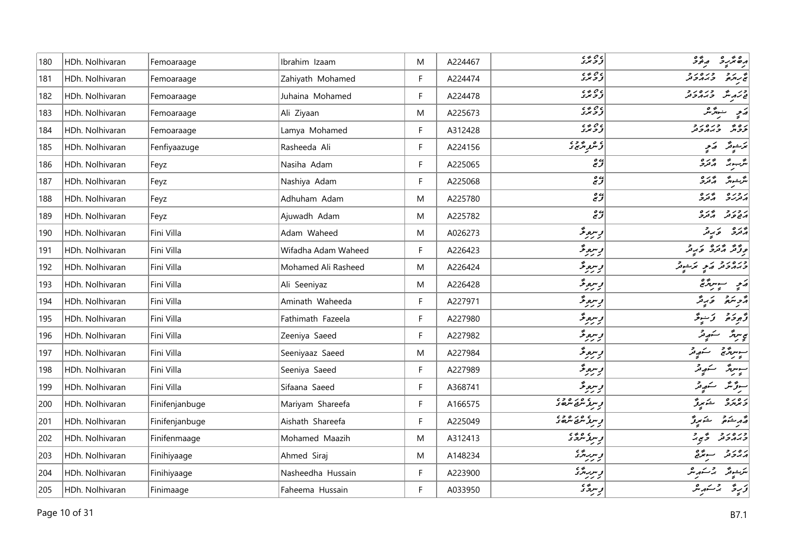| 180 | HDh. Nolhivaran | Femoaraage     | Ibrahim Izaam       | M  | A224467 | ه ۵ و ه<br>تو <del>و</del> بو ړ        | ەرقى<br>اړه تر په د<br>ک                                     |
|-----|-----------------|----------------|---------------------|----|---------|----------------------------------------|--------------------------------------------------------------|
| 181 | HDh. Nolhivaran | Femoaraage     | Zahiyath Mohamed    | F. | A224474 | ړ بر پر پر<br>تو <del>ت</del> ر بو پر  | و ره ر و<br>تر پر ژنر<br>پھ پر ہڑ ہ<br>سی پر ہر ہو           |
| 182 | HDh. Nolhivaran | Femoaraage     | Juhaina Mohamed     | F. | A224478 | ړ بر پر پر<br>تو <del>و</del> مگرۍ     | و ره ر د<br>تر پر ژمر<br>قے تر ہر شر                         |
| 183 | HDh. Nolhivaran | Femoaraage     | Ali Ziyaan          | M  | A225673 | ه ۵ پر د<br>او د برد                   | ړې خوړ شو                                                    |
| 184 | HDh. Nolhivaran | Femoaraage     | Lamya Mohamed       | F  | A312428 | ه ۵ و ه<br>تو <del>و</del> بو ړ        | ر ه و.<br>نوو پژ<br>و ره ر و<br><i>و ټ</i> ه <del>و</del> تر |
| 185 | HDh. Nolhivaran | Fenfiyaazuge   | Rasheeda Ali        | F  | A224156 | ع شروع دي.<br> زينگر پرسي <sub>ک</sub> | للمشيئر الكعج                                                |
| 186 | HDh. Nolhivaran | Feyz           | Nasiha Adam         | F  | A225065 | ړه ه<br>گر <del>ي</del>                | مترجبه<br>پور ہ<br>مرتزو                                     |
| 187 | HDh. Nolhivaran | Feyz           | Nashiya Adam        | F  | A225068 | ړه ه<br>گر <del>ي</del>                | ەرگەر<br>مگرىشى <i>دۇ</i><br>ب                               |
| 188 | HDh. Nolhivaran | Feyz           | Adhuham Adam        | M  | A225780 | ړه ه<br>گر <del>ج</del>                | ر ور ه<br>مرمرکز<br>پور ہ<br>پرترو                           |
| 189 | HDh. Nolhivaran | Feyz           | Ajuwadh Adam        | M  | A225782 | ړه ه<br>گر <del>ج</del>                | ر ور و<br>پرتوبر پرترو                                       |
| 190 | HDh. Nolhivaran | Fini Villa     | Adam Waheed         | M  | A026273 | و سره څه                               | أرمزو كالمرمز                                                |
| 191 | HDh. Nolhivaran | Fini Villa     | Wifadha Adam Waheed | F  | A226423 | اوسعدمگر<br><u>سب</u>                  | وژنڈ ڈنرو تربر                                               |
| 192 | HDh. Nolhivaran | Fini Villa     | Mohamed Ali Rasheed | M  | A226424 | اوسره څه<br><u>سب</u>                  | כנסגב גב האבבה                                               |
| 193 | HDh. Nolhivaran | Fini Villa     | Ali Seeniyaz        | M  | A226428 | ار سره څه<br><u>سرسر</u>               |                                                              |
| 194 | HDh. Nolhivaran | Fini Villa     | Aminath Waheeda     | F  | A227971 | اوسعد څه<br><u>ست</u>                  | أأروبتهم أورقه                                               |
| 195 | HDh. Nolhivaran | Fini Villa     | Fathimath Fazeela   | F  | A227980 | اوسعدمجه<br>ڪسڪ                        | ۇي <sub>م</sub> ۇمۇسى ئەسپۇ                                  |
| 196 | HDh. Nolhivaran | Fini Villa     | Zeeniya Saeed       | F. | A227982 | او سره څه<br><u>سب</u>                 | ې سرم <sup>گ</sup> ر سکوپوټر                                 |
| 197 | HDh. Nolhivaran | Fini Villa     | Seeniyaaz Saeed     | M  | A227984 | او سره څه<br><u>ست</u>                 | $\frac{28}{5}$<br>سە ھەيىتىر                                 |
| 198 | HDh. Nolhivaran | Fini Villa     | Seeniya Saeed       | F  | A227989 | اوسعدمحه<br>ڪسيا                       | سويبر<br>سەر بىر                                             |
| 199 | HDh. Nolhivaran | Fini Villa     | Sifaana Saeed       | F  | A368741 | و سر <sub>جو</sub> محر                 | اسوژیٹر<br>پ<br>سکوپەتىر                                     |
| 200 | HDh. Nolhivaran | Finifenjanbuge | Mariyam Shareefa    | F  | A166575 | د سر د سره و د و                       | وبروره<br>ے کمبروگر                                          |
| 201 | HDh. Nolhivaran | Finifenjanbuge | Aishath Shareefa    | F  | A225049 | و سرو مرد و د ،<br>سرو مرد مرد مرد و   | أقهر مشكاتهم المستعمرة                                       |
| 202 | HDh. Nolhivaran | Finifenmaage   | Mohamed Maazih      | M  | A312413 | وسوعدة                                 | כנסנב בבל                                                    |
| 203 | HDh. Nolhivaran | Finihiyaage    | Ahmed Siraj         | M  | A148234 | و سربر پژی<br>بر بر بر                 | رەرو سەرە                                                    |
| 204 | HDh. Nolhivaran | Finihiyaage    | Nasheedha Hussain   | F  | A223900 | او سربر پوځ<br><u>کر ر</u>             | لترجيع الرائد المرامر                                        |
| 205 | HDh. Nolhivaran | Finimaage      | Faheema Hussain     | F  | A033950 | و سرچ <sup>ء</sup><br>تر سرچ           | ۇرۇ جىتمەش                                                   |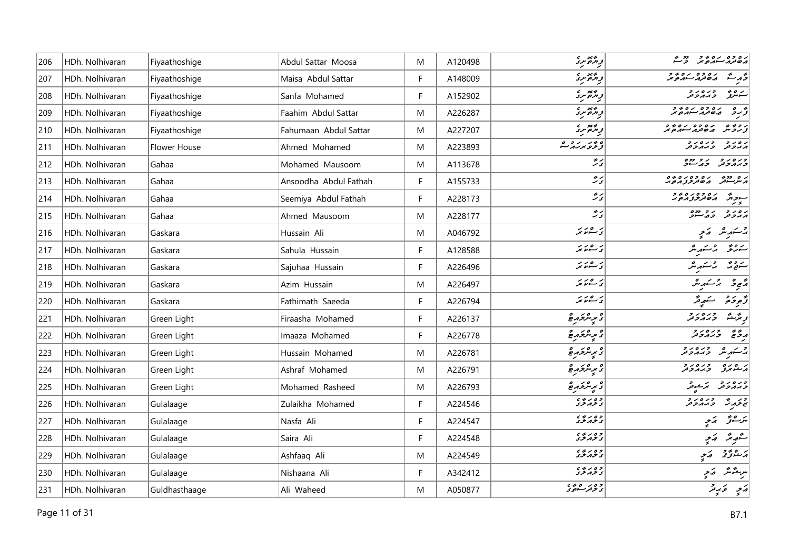| 206 | HDh. Nolhivaran | Fiyaathoshige       | Abdul Sattar Moosa    | M  | A120498 | و پر پر<br>پر مربو سر پر                                             |                                                                 |
|-----|-----------------|---------------------|-----------------------|----|---------|----------------------------------------------------------------------|-----------------------------------------------------------------|
| 207 | HDh. Nolhivaran | Fiyaathoshige       | Maisa Abdul Sattar    | F. | A148009 | و پھر ہ<br>پر مربوری                                                 | ر ه وه ره د و<br>پره تربر سوړه پر<br>ر پر گ                     |
| 208 | HDh. Nolhivaran | Fiyaathoshiqe       | Sanfa Mohamed         | F. | A152902 | و پژند ع<br>تر پژند برد                                              | سەمىقە<br>و رە ر د<br>تر پروتر                                  |
| 209 | HDh. Nolhivaran | Fiyaathoshige       | Faahim Abdul Sattar   | M  | A226287 | و پھر ہ<br>پر مربو                                                   | ر ٥ ۶ ٥ ٥ ٥ ٠ ٥ ٠<br>پره تربر سوبره پر<br>وگرر ہ                |
| 210 | HDh. Nolhivaran | Fiyaathoshige       | Fahumaan Abdul Sattar | M  | A227207 | و پر پر ہ<br>پر مربو سر پر                                           | ر ٥ ۶ ٥ ٥ ٧ ٥ ٠ ٩<br>در حافرور سوور مر<br>ر د پ <sub>ه په</sub> |
| 211 | HDh. Nolhivaran | <b>Flower House</b> | Ahmed Mohamed         | M  | A223893 | ە بەر بەر دە<br>توخرى بىرىدە سە                                      | و پر و پر و<br>تر ټر ټر تر<br>ەر ئەر                            |
| 212 | HDh. Nolhivaran | Gahaa               | Mohamed Mausoom       | M  | A113678 | ىزچ                                                                  | כנסנכ נכסים                                                     |
| 213 | HDh. Nolhivaran | Gahaa               | Ansoodha Abdul Fathah | F  | A155733 | ىزچ                                                                  | ره دده ده ده ده ده<br>پرسرسوتر پره تر ژبروبر                    |
| 214 | HDh. Nolhivaran | Gahaa               | Seemiya Abdul Fathah  | F  | A228173 | ىزچ                                                                  | ر ه و ه د ه د و<br>پره تر پوځ پر ه<br>اسودگر<br>ڪ               |
| 215 | HDh. Nolhivaran | Gahaa               | Ahmed Mausoom         | M  | A228177 | ىزچ                                                                  | ر ە ر د<br>م.ر تەتر<br>ىر دە دە                                 |
| 216 | HDh. Nolhivaran | Gaskara             | Hussain Ali           | M  | A046792 | ر 2 س <sup>ر</sup> ىر<br>ئەسىرىكىر                                   | برسكهر شركمية                                                   |
| 217 | HDh. Nolhivaran | Gaskara             | Sahula Hussain        | F  | A128588 | ى سەرىمىر                                                            | سەرى ئەسەر                                                      |
| 218 | HDh. Nolhivaran | Gaskara             | Sajuhaa Hussain       | F  | A226496 | ىر ھەيزىر                                                            | سەۋە ئەسەر بىر                                                  |
| 219 | HDh. Nolhivaran | Gaskara             | Azim Hussain          | M  | A226497 | ر 2 ئەر<br>ئ                                                         | ۇي ئىسكىرىش                                                     |
| 220 | HDh. Nolhivaran | Gaskara             | Fathimath Saeeda      | F  | A226794 | ر ھ.<br>ئەسىمە ئىر                                                   | تزجوخا متماياته                                                 |
| 221 | HDh. Nolhivaran | Green Light         | Firaasha Mohamed      | F. | A226137 | <i>و بې</i> شر <i>خون</i> و                                          | و برٌبتٌه<br>و ره ر و<br>تر پر ژ تر                             |
| 222 | HDh. Nolhivaran | Green Light         | Imaaza Mohamed        | F. | A226778 | ۇ بېرىتر <i>ىۋ</i> رى <u>ق</u>                                       | ە ئەنتى ئى<br>و رە ر د<br>تر پر تر تر                           |
| 223 | HDh. Nolhivaran | Green Light         | Hussain Mohamed       | M  | A226781 | ۇ <sub>مو</sub> شرىخەر ھ                                             | ج کے مرکز حرم دیکھ کر دیا جات                                   |
| 224 | HDh. Nolhivaran | Green Light         | Ashraf Mohamed        | M  | A226791 | وبرعر يره                                                            | بر ھەبىرە<br>مەشقىرىق<br>و رە ر د<br><i>د بە</i> د تر           |
| 225 | HDh. Nolhivaran | Green Light         | Mohamed Rasheed       | M  | A226793 | ۇ <sub>مو</sub> يۇ ئەرق <mark>ى</mark>                               | ورەرو كەنبەتر                                                   |
| 226 | HDh. Nolhivaran | Gulalaage           | Zulaikha Mohamed      | F  | A224546 | و ه بر پر پر<br>پر محرکو پر                                          | و ره ر و<br>تر <i>د</i> گرفتر<br>چ ئۇ م <sup>ەش</sup> ر         |
| 227 | HDh. Nolhivaran | Gulalaage           | Nasfa Ali             | F  | A224547 | و ه ر پر پر<br>پر محرک                                               | بترجوش المائي                                                   |
| 228 | HDh. Nolhivaran | Gulalaage           | Saira Ali             | F  | A224548 | و ه بر پر پر<br>پر محرکو پر                                          | لشهريته<br>ەتىر                                                 |
| 229 | HDh. Nolhivaran | Gulalaage           | Ashfaaq Ali           | M  | A224549 | و ه ر پر پر<br>پر عربر مر                                            | ىر شەرىج<br>مەشىرىتى<br>رځمنې                                   |
| 230 | HDh. Nolhivaran | Gulalaage           | Nishaana Ali          | F. | A342412 | و ه بر پر پر<br>پر محرکو پر                                          | سرچينې کړې<br>م                                                 |
| 231 | HDh. Nolhivaran | Guldhasthaage       | Ali Waheed            | M  | A050877 | و ه بر _ه پ <sub>ر</sub> ب <sub>ه</sub><br>بر نوتر سعو <sub>ند</sub> | كدي كاريتر                                                      |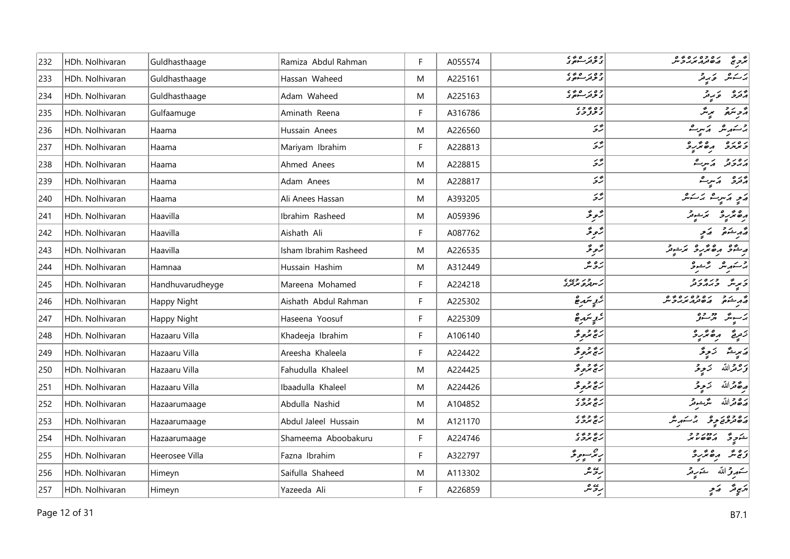| 232 | HDh. Nolhivaran | Guldhasthaage    | Ramiza Abdul Rahman   | F         | A055574 | و ه بر _ه پ <sub>ر</sub> ،<br>د <del>ن</del> وتر سعیږ              | ر ه و ه د ه د ه و<br>پره تر پر <i>پر</i> تر س<br>ترديح |
|-----|-----------------|------------------|-----------------------|-----------|---------|--------------------------------------------------------------------|--------------------------------------------------------|
| 233 | HDh. Nolhivaran | Guldhasthaage    | Hassan Waheed         | M         | A225161 | و ه بر _ ه پو ،<br>د نوتر سوه د                                    | برسەيىتە<br>ءَ ٻريمر                                   |
| 234 | HDh. Nolhivaran | Guldhasthaage    | Adam Waheed           | M         | A225163 | و ه بر _ه پ <sub>ر</sub> ب <sub>ا</sub><br>بر <del>تر</del> تر سوی | پژره<br>د ترو<br>ى بر تر                               |
| 235 | HDh. Nolhivaran | Gulfaamuge       | Aminath Reena         | F         | A316786 | د ه و و ،<br>د ترتو تر د                                           | أثر جريئتمو<br>ىرىتر                                   |
| 236 | HDh. Nolhivaran | Haama            | Hussain Anees         | M         | A226560 | $\mathcal{Z}$                                                      | جر س <sub>ک</sub> ر مگر<br>ىرسرىتە                     |
| 237 | HDh. Nolhivaran | Haama            | Mariyam Ibrahim       | F         | A228813 | رژ                                                                 | وە ئۆرۈ<br>ر ه ر ه<br><del>ر</del> بربرگ               |
| 238 | HDh. Nolhivaran | Haama            | Ahmed Anees           | M         | A228815 | رژ                                                                 | ړه رو ټرو                                              |
| 239 | HDh. Nolhivaran | Haama            | Adam Anees            | M         | A228817 | رژ                                                                 | أرتده أرسرت                                            |
| 240 | HDh. Nolhivaran | Haama            | Ali Anees Hassan      | ${\sf M}$ | A393205 | $\tilde{\mathcal{Z}}$                                              | ړې ټېږ پر شکر                                          |
| 241 | HDh. Nolhivaran | Haavilla         | Ibrahim Rasheed       | M         | A059396 | رٌّہ ِ وََ                                                         | رەترىرو ترىنونر                                        |
| 242 | HDh. Nolhivaran | Haavilla         | Aishath Ali           | F         | A087762 | رٌوِ وٌَ                                                           |                                                        |
| 243 | HDh. Nolhivaran | Haavilla         | Isham Ibrahim Rasheed | M         | A226535 | رَّحَمَّ بَحَر                                                     | ړېده ره ترېږو نرېږ                                     |
| 244 | HDh. Nolhivaran | Hamnaa           | Hussain Hashim        | M         | A312449 | رە پۇ                                                              | چرىكى مەسىرە<br>مەسكىرىش كەشلەر                        |
| 245 | HDh. Nolhivaran | Handhuvarudheyge | Mareena Mohamed       | F         | A224218 | ر<br>رکس فرو بوتو ت                                                | و دره دره در                                           |
| 246 | HDh. Nolhivaran | Happy Night      | Aishath Abdul Rahman  | F         | A225302 | <sup>ع</sup> بو ٍ سَرم هيج                                         | ر ه و ه ر ه د ه<br>پره تربر تر بر<br>و.<br>در کار شوی  |
| 247 | HDh. Nolhivaran | Happy Night      | Haseena Yoosuf        | F         | A225309 | ر بو سَرىر ھ                                                       | ائەسىدىگە قرمىسىدى<br>ئىستارلىقىلىشىلىرى               |
| 248 | HDh. Nolhivaran | Hazaaru Villa    | Khadeeja Ibrahim      | F         | A106140 | رَ بِمَ مِرْهِ مَرَّ                                               | ئرىرىچ<br>ئ<br>ەرھەترىر <sup>ى</sup>                   |
| 249 | HDh. Nolhivaran | Hazaaru Villa    | Areesha Khaleela      | F         | A224422 | رَ بِمَ مَرْہِ مَرَّ                                               | رىم يېشىگە<br>تزوٍوٌ                                   |
| 250 | HDh. Nolhivaran | Hazaaru Villa    | Fahudulla Khaleel     | M         | A224425 | رَ بِمُ مِرْهِ مِّرَ                                               | ورودالله<br>تزموقر                                     |
| 251 | HDh. Nolhivaran | Hazaaru Villa    | Ibaadulla Khaleel     | M         | A224426 | رىچ ترەڭ                                                           | صقحرالله<br>تزوِقر                                     |
| 252 | HDh. Nolhivaran | Hazaarumaage     | Abdulla Nashid        | M         | A104852 | ر ۶ و ۶ ء<br>تر پنج بوری                                           | برە تراللە<br>سگرشونر                                  |
| 253 | HDh. Nolhivaran | Hazaarumaage     | Abdul Jaleel Hussain  | M         | A121170 | ر پر و د »<br>رسخ بور <del>و</del> ی                               | גە دەر دەر بالسكىرىش                                   |
| 254 | HDh. Nolhivaran | Hazaarumaage     | Shameema Aboobakuru   | F         | A224746 | ر ۶ و ۶ ء<br>رسخ مور د                                             | 77777<br>شەرچ                                          |
| 255 | HDh. Nolhivaran | Heerosee Villa   | Fazna Ibrahim         | F         | A322797 | ر تر سوء محر<br>په سوء سر                                          | وی شهر ده مرب                                          |
| 256 | HDh. Nolhivaran | Himeyn           | Saifulla Shaheed      | M         | A113302 | رىچە پىر                                                           | سَعَمِرِ قُرْ اللّهِ<br>ستكرير                         |
| 257 | HDh. Nolhivaran | Himeyn           | Yazeeda Ali           | F         | A226859 | ر <sup>ي ه</sup> ر                                                 | ترىپە ئەھمىي ئە                                        |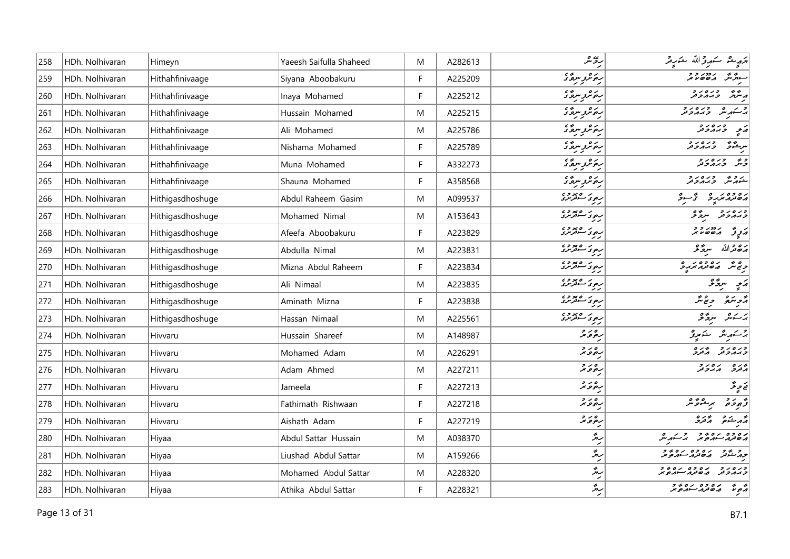| 258 | HDh. Nolhivaran | Himeyn           | Yaeesh Saifulla Shaheed | M         | A282613 | ر پی میں                                       | مَرَمٍ ۖ شَمَرٍ فَرَ اللَّهَ ۖ شَمَرٍ فَمَر                                                                                                                                                                                     |
|-----|-----------------|------------------|-------------------------|-----------|---------|------------------------------------------------|---------------------------------------------------------------------------------------------------------------------------------------------------------------------------------------------------------------------------------|
| 259 | HDh. Nolhivaran | Hithahfinivaage  | Siyana Aboobakuru       | F         | A225209 | رۇشۇر بىرقە ئە                                 |                                                                                                                                                                                                                                 |
| 260 | HDh. Nolhivaran | Hithahfinivaage  | Inaya Mohamed           | F.        | A225212 | رۇشۇر بىرقە ئە                                 | ە شەھرەر دەر                                                                                                                                                                                                                    |
| 261 | HDh. Nolhivaran | Hithahfinivaage  | Hussain Mohamed         | M         | A225215 | رۇشۇر بىرقە ئە                                 | بر کرد وره دو                                                                                                                                                                                                                   |
| 262 | HDh. Nolhivaran | Hithahfinivaage  | Ali Mohamed             | M         | A225786 | رىر ئىرو بىرىدى                                | ر دره در در د                                                                                                                                                                                                                   |
| 263 | HDh. Nolhivaran | Hithahfinivaage  | Nishama Mohamed         | F         | A225789 | رۇ ئروپىرۇ ئ                                   | و ره ر و<br><i>و ټ</i> ه <del>و</del> تر<br>سريشگر                                                                                                                                                                              |
| 264 | HDh. Nolhivaran | Hithahfinivaage  | Muna Mohamed            | F         | A332273 | ىرغ <sub>ە</sub> ئىروپىرىقى ئە                 | و میں در در د<br>دس کے برمار فر                                                                                                                                                                                                 |
| 265 | HDh. Nolhivaran | Hithahfinivaage  | Shauna Mohamed          | F.        | A358568 | ىرە ئىروپىر <i>ە ئ</i>                         | شەرقە دىرەرد                                                                                                                                                                                                                    |
| 266 | HDh. Nolhivaran | Hithigasdhoshuge | Abdul Raheem Gasim      | M         | A099537 | <br>  ره د سه تر رو د<br>  ر                   | - 2020 - 2020 - 2020 - 2020 - 2020 - 2020 - 2020 - 2020 - 2020 - 2020 - 2020 - 2020 - 2020 - 2020 - 2020 - 202<br>- 2020 - 2020 - 2020 - 2020 - 2020 - 2020 - 2020 - 2020 - 2020 - 2020 - 2020 - 2020 - 2020 - 2020 - 2020 - 20 |
| 267 | HDh. Nolhivaran | Hithigasdhoshuge | Mohamed Nimal           | M         | A153643 | ر ه د <sup>0</sup> پر د د ،<br>بر د کسه تعریری | כנסנב תפי                                                                                                                                                                                                                       |
| 268 | HDh. Nolhivaran | Hithigasdhoshuge | Afeefa Aboobakuru       | F.        | A223829 | <br>  ره د ک سوتر د د د<br>  ر ر               | גְנְצְיִי                                                                                                                                                                                                                       |
| 269 | HDh. Nolhivaran | Hithigasdhoshuge | Abdulla Nimal           | M         | A223831 | اره د معدود<br>اره د مسور                      | مَدْهَ مَّرَ اللَّهُ مَعَرَّكُمْ                                                                                                                                                                                                |
| 270 | HDh. Nolhivaran | Hithigasdhoshuge | Mizna Abdul Raheem      | F         | A223834 | اره د حود دی<br>اره د مشورد                    | 0 1070 1070                                                                                                                                                                                                                     |
| 271 | HDh. Nolhivaran | Hithigasdhoshuge | Ali Nimaal              | M         | A223835 | اره د معدود<br>اره د سوفرمرد                   | ړنې سرد و                                                                                                                                                                                                                       |
| 272 | HDh. Nolhivaran | Hithigasdhoshuge | Aminath Mizna           | F         | A223838 | ر ص د ۲۵ و د<br>ره د کستونور                   |                                                                                                                                                                                                                                 |
| 273 | HDh. Nolhivaran | Hithigasdhoshuge | Hassan Nimaal           | M         | A225561 | ر ص د ۲۵ و د<br>رح د کستورنوی                  | يركىش سرده و                                                                                                                                                                                                                    |
| 274 | HDh. Nolhivaran | Hivvaru          | Hussain Shareef         | M         | A148987 | ە ر د<br>رە <sub>ۋ</sub> ىر                    | چە سەر سىر سىسرو                                                                                                                                                                                                                |
| 275 | HDh. Nolhivaran | Hivvaru          | Mohamed Adam            | M         | A226291 | ره و د                                         | כנסנכ שנס                                                                                                                                                                                                                       |
| 276 | HDh. Nolhivaran | Hivvaru          | Adam Ahmed              | M         | A227211 | ره د د                                         | پره ده دورو<br>مرکز م <i>رکز</i> ور                                                                                                                                                                                             |
| 277 | HDh. Nolhivaran | Hivvaru          | Jameela                 | F         | A227213 | رە دىر                                         | ئے <sub>تو</sub> تخر                                                                                                                                                                                                            |
| 278 | HDh. Nolhivaran | Hivvaru          | Fathimath Rishwaan      | F         | A227218 | لرەدىر                                         | ىرىشە ئۇ بىر<br>ۇ بو ئەم                                                                                                                                                                                                        |
| 279 | HDh. Nolhivaran | Hivvaru          | Aishath Adam            | F         | A227219 | رە دېر                                         | و<br>دگر شو د کرد                                                                                                                                                                                                               |
| 280 | HDh. Nolhivaran | Hiyaa            | Abdul Sattar Hussain    | M         | A038370 | رپڙ                                            | ره وه ره د و د و کرمه                                                                                                                                                                                                           |
| 281 | HDh. Nolhivaran | Hiyaa            | Liushad Abdul Sattar    | ${\sf M}$ | A159266 | رېژ                                            | و مود ده وه ده دود<br>ورشتونر بره ترم سوره مر                                                                                                                                                                                   |
| 282 | HDh. Nolhivaran | Hiyaa            | Mohamed Abdul Sattar    | M         | A228320 | ربڑ                                            | ر د ه د د ه ر د و د<br>پرې توربر سوبر پور<br>و ر ه ر د<br>و پر پر تر                                                                                                                                                            |
| 283 | HDh. Nolhivaran | Hiyaa            | Athika Abdul Sattar     | F.        | A228321 | رېژ                                            | د د ده ده ده دور                                                                                                                                                                                                                |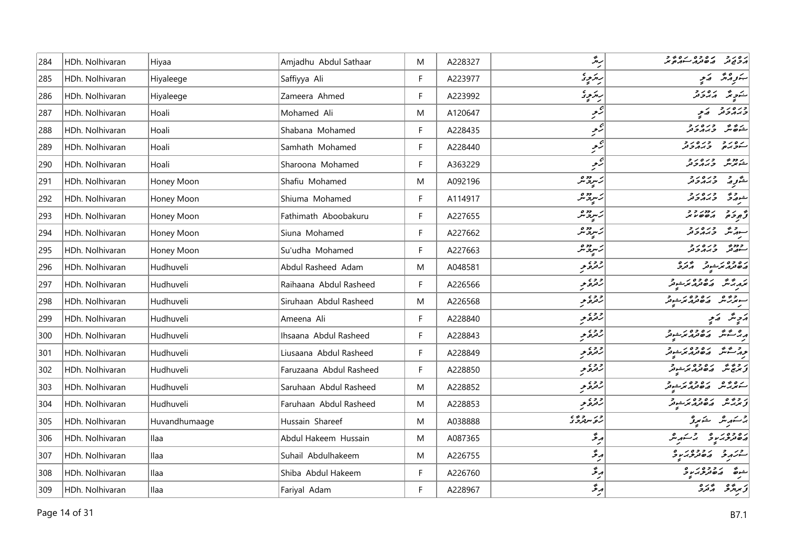| 284 | HDh. Nolhivaran | Hiyaa         | Amjadhu Abdul Sathaar   | M         | A228327 | رېژ                        | ג סג כניס בס גם זיכי<br>הכניביה המשהה בית הייכ           |
|-----|-----------------|---------------|-------------------------|-----------|---------|----------------------------|----------------------------------------------------------|
| 285 | HDh. Nolhivaran | Hiyaleege     | Saffiyya Ali            | F         | A223977 | رېز <sub>مونه</sub><br>ر   | ښو پروژ پرې                                              |
| 286 | HDh. Nolhivaran | Hiyaleege     | Zameera Ahmed           | F         | A223992 | رېزېږ <sup>ي</sup>         | شوپر پره د و                                             |
| 287 | HDh. Nolhivaran | Hoali         | Mohamed Ali             | M         | A120647 | اچمو                       | وره رو کرد که                                            |
| 288 | HDh. Nolhivaran | Hoali         | Shabana Mohamed         | F         | A228435 | احيو                       | شەھ ئەرەر د                                              |
| 289 | HDh. Nolhivaran | Hoali         | Samhath Mohamed         | F         | A228440 | احجع                       | و رە ر د<br>تر پر تر تر<br>سەۋېر ۋ                       |
| 290 | HDh. Nolhivaran | Hoali         | Sharoona Mohamed        | F         | A363229 | لعبيب                      | ر دوره در در د<br>شوترس وبردونر                          |
| 291 | HDh. Nolhivaran | Honey Moon    | Shafiu Mohamed          | M         | A092196 | ئە بىر 3 مىر<br>ئە         | و رە ر د<br><i>د بە</i> پەر<br>إيتمور                    |
| 292 | HDh. Nolhivaran | Honey Moon    | Shiuma Mohamed          | F         | A114917 | ئە پىرچە تىر<br>ئە         | شەرگە گ<br>و رە ر د<br><i>د بە</i> دىر                   |
| 293 | HDh. Nolhivaran | Honey Moon    | Fathimath Aboobakuru    | F         | A227655 | ر سرد مر<br>په سر          | 77/77/7<br>ا تو پر د                                     |
| 294 | HDh. Nolhivaran | Honey Moon    | Siuna Mohamed           | F         | A227662 | ئە بىر 3 مىر<br>ئە         | سەر ئەرەر د                                              |
| 295 | HDh. Nolhivaran | Honey Moon    | Su'udha Mohamed         | F         | A227663 | ئە بىردىم<br>ئەسرچە بىر    | כמי כנסגים<br>המטבר בממכנק                               |
| 296 | HDh. Nolhivaran | Hudhuveli     | Abdul Rasheed Adam      | M         | A048581 | و و ،<br>رنده م            | גם כם גם בגם<br>הסתה בביבת הבב                           |
| 297 | HDh. Nolhivaran | Hudhuveli     | Raihaana Abdul Rasheed  | F         | A226566 | روءير                      | ره وه ده در د د د کار شوند<br>مرد کاش می ه ها در مر شوند |
| 298 | HDh. Nolhivaran | Hudhuveli     | Siruhaan Abdul Rasheed  | M         | A226568 | و و ۽<br>رسمبر م           | سوپر شهر او ده در مرشونر<br>مرکز شهر او محمد و مرکز      |
| 299 | HDh. Nolhivaran | Hudhuveli     | Ameena Ali              | F         | A228840 | و و ،<br>رتره م            | أرويتر أركمو                                             |
| 300 | HDh. Nolhivaran | Hudhuveli     | Ihsaana Abdul Rasheed   | F         | A228843 | و و ،<br>رنده م            | ە ئەسىسى بەرەر بىر ئىسى<br>مەن ئىسى مەھەرمە ئىسى         |
| 301 | HDh. Nolhivaran | Hudhuveli     | Liusaana Abdul Rasheed  | F         | A228849 | و و ،<br>رتره م            | د د کشتر ده ده در برشود<br>د کشتر مان در بر              |
| 302 | HDh. Nolhivaran | Hudhuveli     | Faruzaana Abdul Rasheed | F.        | A228850 | و و ،<br>رنده م            | ر و د مېر ده وه د سوتر<br>ز مړي سر په مصر مرسومر         |
| 303 | HDh. Nolhivaran | Hudhuveli     | Saruhaan Abdul Rasheed  | M         | A228852 | د د ه و                    | رەپەر رەپەر بەر                                          |
| 304 | HDh. Nolhivaran | Hudhuveli     | Faruhaan Abdul Rasheed  | M         | A228853 | روء پر                     | ر و ده مده وه د رو و<br>زیربر شهر مده در برشونر          |
| 305 | HDh. Nolhivaran | Huvandhumaage | Hussain Shareef         | M         | A038888 | و ر په ده و.<br>رو سربرو د | رحسكم متعرفه                                             |
| 306 | HDh. Nolhivaran | Ilaa          | Abdul Hakeem Hussain    | ${\sf M}$ | A087365 | وعج                        | גם כפנים כי הלא הי                                       |
| 307 | HDh. Nolhivaran | Ilaa          | Suhail Abdulhakeem      | ${\sf M}$ | A226755 | وعج                        | ومركز المتصر ومديدة                                      |
| 308 | HDh. Nolhivaran | Ilaa          | Shiba Abdul Hakeem      | F         | A226760 | برځ                        | أشوة كالمعاقر وبركر والمحمد                              |
| 309 | HDh. Nolhivaran | Ilaa          | Fariyal Adam            | F         | A228967 | برمحر                      | كر يرو المجاره                                           |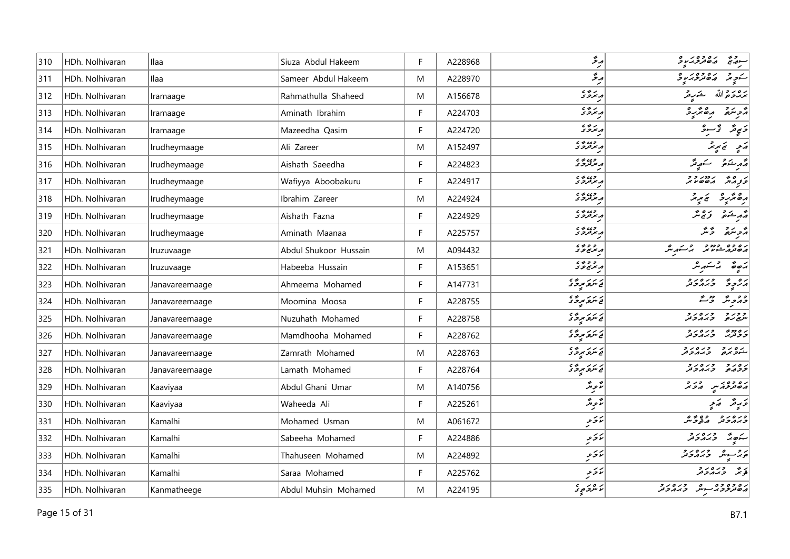| 310 | HDh. Nolhivaran | Ilaa           | Siuza Abdul Hakeem    | F         | A228968 | وعج                             | ره وه ر <sub>و</sub> ه<br>پره تر <del>ت</del> ر بر و<br>$rac{2}{5}$ |
|-----|-----------------|----------------|-----------------------|-----------|---------|---------------------------------|---------------------------------------------------------------------|
| 311 | HDh. Nolhivaran | Ilaa           | Sameer Abdul Hakeem   | M         | A228970 | برځ                             | ړه ده ريږ<br>سەرىتە                                                 |
| 312 | HDh. Nolhivaran | Iramaage       | Rahmathulla Shaheed   | M         | A156678 | د بود و<br>د بورو د             | برە بر حەللە ھەمبەر                                                 |
| 313 | HDh. Nolhivaran | Iramaage       | Aminath Ibrahim       | F         | A224703 | د برو ،<br>د برژ د              | ەھترىرى<br>أرمر تركيح                                               |
| 314 | HDh. Nolhivaran | Iramaage       | Mazeedha Qasim        | F         | A224720 | پر تر دی                        | دَىمٍتَر گ <sup>ې</sup> دە                                          |
| 315 | HDh. Nolhivaran | Irudheymaage   | Ali Zareer            | M         | A152497 | <br>  مرمرفرو <sub>ک</sub>      | ړې <sub>ځېږ</sub> يز                                                |
| 316 | HDh. Nolhivaran | Irudheymaage   | Aishath Saeedha       | F         | A224823 | و پر و ء<br>مرمزمز و د          |                                                                     |
| 317 | HDh. Nolhivaran | Irudheymaage   | Wafiyya Aboobakuru    | F         | A224917 | و دره بو د<br>در موتور و د      | פנתה נחינים                                                         |
| 318 | HDh. Nolhivaran | Irudheymaage   | Ibrahim Zareer        | ${\sf M}$ | A224924 | و پره پر د<br>در موتور و        |                                                                     |
| 319 | HDh. Nolhivaran | Irudheymaage   | Aishath Fazna         | F         | A224929 | و ده و د و<br>د مونورو د        | پ <sup>ر</sup> د شوې<br>ىز ئەشر                                     |
| 320 | HDh. Nolhivaran | Irudheymaage   | Aminath Maanaa        | F         | A225757 | و ده و د و<br>در مونورو د       | ړې سرچ<br>ىر ئە                                                     |
| 321 | HDh. Nolhivaran | Iruzuvaage     | Abdul Shukoor Hussain | M         | A094432 | <br>  مریمی و ی                 | ره وه ودوو و در ه<br>پره تر پر شونو بر سکهر س                       |
| 322 | HDh. Nolhivaran | Iruzuvaage     | Habeeba Hussain       | F         | A153651 | <br>  د برج و د                 | برسەمەرىش<br>رَّحْهِ ثَهُ                                           |
| 323 | HDh. Nolhivaran | Janavareemaage | Ahmeema Mohamed       | F         | A147731 | ئەسكە ئىمرىدى                   | برويە<br>و ر ه ر د<br>تر پر ژ تر                                    |
| 324 | HDh. Nolhivaran | Janavareemaage | Moomina Moosa         | F         | A228755 | ئے مترکۂ ترک <sup>ی</sup> کی    | د دېر ش<br>درمی                                                     |
| 325 | HDh. Nolhivaran | Janavareemaage | Nuzuhath Mohamed      | F         | A228758 | ئەسكە ئەيرىچە ئ                 | د در د<br>سرچ ره<br>و ره ر و<br><i>د ب</i> رگرمر                    |
| 326 | HDh. Nolhivaran | Janavareemaage | Mamdhooha Mohamed     | F         | A228762 | ئے مترکۂ مورڈ کی                | ر ه دوم.<br>تر تر تر<br>و ر ه ر و<br>تر پر ژ تر                     |
| 327 | HDh. Nolhivaran | Janavareemaage | Zamrath Mohamed       | M         | A228763 | ئەسكە ئىرىگە ئ                  | ره و د و<br>سونو موړ<br>و ره ر و<br><i>و پر</i> و تر                |
| 328 | HDh. Nolhivaran | Janavareemaage | Lamath Mohamed        | F         | A228764 | ىر ئىرى ئىرگ <sup>ى</sup> ي     | و ره ر و<br>تر <i>پر</i> وتر<br>ر ەر د<br>نرى <i>ز</i> مى           |
| 329 | HDh. Nolhivaran | Kaaviyaa       | Abdul Ghani Umar      | M         | A140756 | لتمعر مثر                       | גם כם ג'ית הכמ                                                      |
| 330 | HDh. Nolhivaran | Kaaviyaa       | Waheeda Ali           | F         | A225261 | تؤجه                            | ءَبہِ پَر سَمِ                                                      |
| 331 | HDh. Nolhivaran | Kamalhi        | Mohamed Usman         | M         | A061672 | ر<br>مأخر مر                    |                                                                     |
| 332 | HDh. Nolhivaran | Kamalhi        | Sabeeha Mohamed       | F         | A224886 | تذكرعه                          | و ره ر و<br>تر پروتر<br>بئەير                                       |
| 333 | HDh. Nolhivaran | Kamalhi        | Thahuseen Mohamed     | ${\sf M}$ | A224892 | تذكرير                          | وروبيش ورەرد                                                        |
| 334 | HDh. Nolhivaran | Kamalhi        | Saraa Mohamed         | F         | A225762 | مذكر ر                          | ر په دره رو<br>څمک وبروونر                                          |
| 335 | HDh. Nolhivaran | Kanmatheege    | Abdul Muhsin Mohamed  | M         | A224195 | ر ه ر<br>پاسر <sub>چرمج</sub> و | ره وه وه مسور وره د و<br>پرهنربوچر سوس وبربرچنر                     |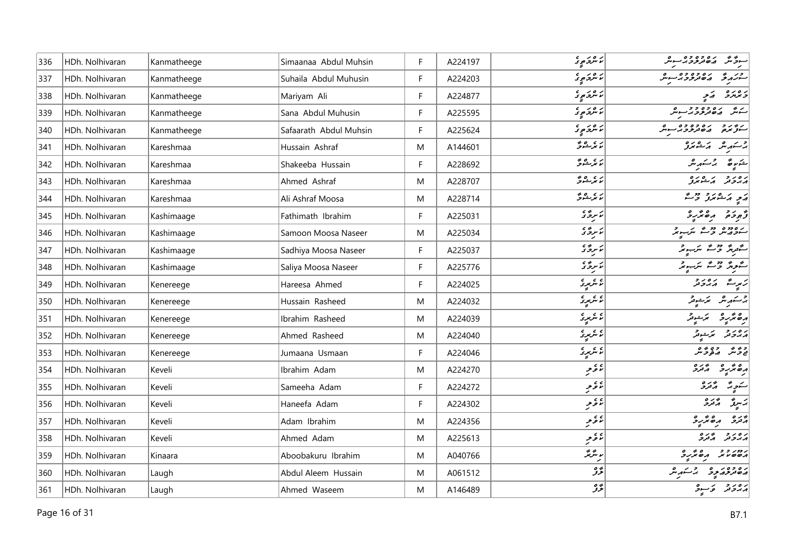| 336 | HDh. Nolhivaran | Kanmatheege | Simaanaa Abdul Muhsin  | F           | A224197 | ئەنگە ئەمو ئە                      | سوم پر ده ده ده سرمر                             |
|-----|-----------------|-------------|------------------------|-------------|---------|------------------------------------|--------------------------------------------------|
| 337 | HDh. Nolhivaran | Kanmatheege | Suhaila Abdul Muhusin  | F           | A224203 | ر ه ر<br>پاسر <sub>چرمج</sub> و    | در دی ده ده ده ده م                              |
| 338 | HDh. Nolhivaran | Kanmatheege | Mariyam Ali            | F           | A224877 | ر هر <sub>مح</sub> د               | د ه ده کام                                       |
| 339 | HDh. Nolhivaran | Kanmatheege | Sana Abdul Muhusin     | F           | A225595 | ر عر <sub>م</sub> دي.<br>ما مرم دي | شهر مەھ دوم دىسى                                 |
| 340 | HDh. Nolhivaran | Kanmatheege | Safaarath Abdul Muhsin | $\mathsf F$ | A225624 | ئەنگە ئەيج                         | ر در در ده ده ده ده .<br>  سوز در در مورد در سوش |
| 341 | HDh. Nolhivaran | Kareshmaa   | Hussain Ashraf         | M           | A144601 | ر ء شره پح                         | بر کے مرکز مرکز کے مرکز                          |
| 342 | HDh. Nolhivaran | Kareshmaa   | Shakeeba Hussain       | $\mathsf F$ | A228692 | ر ء شره پح                         | شەرق برسىر شر                                    |
| 343 | HDh. Nolhivaran | Kareshmaa   | Ahmed Ashraf           | M           | A228707 | ر ء شره پح                         | أرور والمشتغر                                    |
| 344 | HDh. Nolhivaran | Kareshmaa   | Ali Ashraf Moosa       | ${\sf M}$   | A228714 | ىر ئەھەتى                          | اړ <sub>م</sub> په ده ده ده د                    |
| 345 | HDh. Nolhivaran | Kashimaage  | Fathimath Ibrahim      | F           | A225031 | ر<br>ما مورد د                     | أزوده مقترد                                      |
| 346 | HDh. Nolhivaran | Kashimaage  | Samoon Moosa Naseer    | M           | A225034 | لأمرمح                             | ת סמם מי מי תוקית ב                              |
| 347 | HDh. Nolhivaran | Kashimaage  | Sadhiya Moosa Naseer   | $\mathsf F$ | A225037 | ر<br>مأسرچري                       | شوره ده شه مرسومه                                |
| 348 | HDh. Nolhivaran | Kashimaage  | Saliya Moosa Naseer    | F           | A225776 | لأبرجوء                            | شوره وقت ترب                                     |
| 349 | HDh. Nolhivaran | Kenereege   | Hareesa Ahmed          | F           | A224025 | ع متن پیر مح<br> <br>مناسبة        | ژبېرت پره ژبو                                    |
| 350 | HDh. Nolhivaran | Kenereege   | Hussain Rasheed        | M           | A224032 | ى ئەيرى<br>مامىرىپرى               | جرسكور مكر مكر مكر محر وتر                       |
| 351 | HDh. Nolhivaran | Kenereege   | Ibrahim Rasheed        | ${\sf M}$   | A224039 | ع مثر پر <sup>ج</sup>              | أرە ئۇرۇ بىر مۇ                                  |
| 352 | HDh. Nolhivaran | Kenereege   | Ahmed Rasheed          | M           | A224040 | ع مر <sub>سم</sub> ءِ<br>م         | دەر د سرشوش                                      |
| 353 | HDh. Nolhivaran | Kenereege   | Jumaana Usmaan         | F           | A224046 | ع مثر پر <sup>ج</sup>              | و پر پر وه پر مر<br>  پر څر شر مرغوب مر          |
| 354 | HDh. Nolhivaran | Keveli      | Ibrahim Adam           | ${\sf M}$   | A224270 | لأغرمه                             | دەممىرو مەدو                                     |
| 355 | HDh. Nolhivaran | Keveli      | Sameeha Adam           | F           | A224272 | ءَءُمِ                             | سەچەتە<br>پور ہ<br>مرکز ژ                        |
| 356 | HDh. Nolhivaran | Keveli      | Haneefa Adam           | $\mathsf F$ | A224302 | لاءمو                              | بَرْسِرِدَّ مُرْمَرْد                            |
| 357 | HDh. Nolhivaran | Keveli      | Adam Ibrahim           | M           | A224356 | ءءمر                               | أدره ده دره                                      |
| 358 | HDh. Nolhivaran | Keveli      | Ahmed Adam             | M           | A225613 | لأعرمه                             | ره رو پوره<br>پرېدونر پرترو                      |
| 359 | HDh. Nolhivaran | Kinaara     | Aboobakuru Ibrahim     | M           | A040766 | ىرىترىتر                           |                                                  |
| 360 | HDh. Nolhivaran | Laugh       | Abdul Aleem Hussain    | M           | A061512 | تزوُ                               |                                                  |
| 361 | HDh. Nolhivaran | Laugh       | Ahmed Waseem           | M           | A146489 | تزوُ                               | دەرو كەسوگ                                       |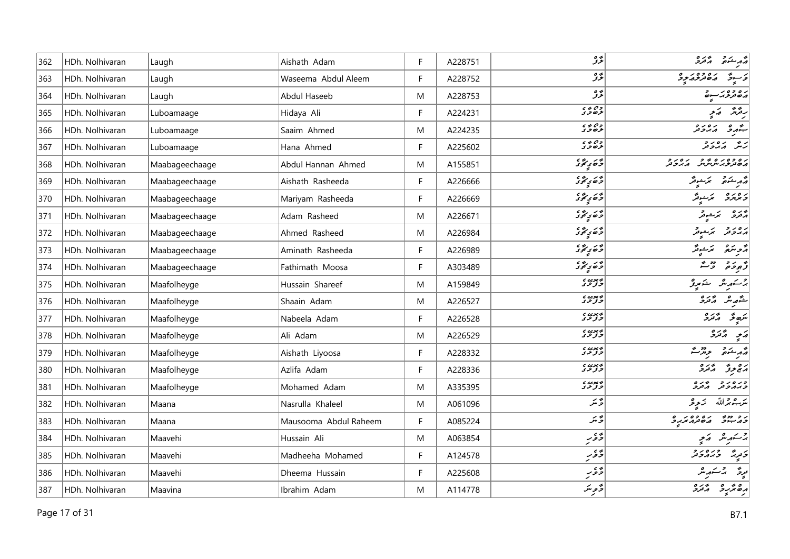| 362 | HDh. Nolhivaran | Laugh          | Aishath Adam          | F           | A228751 | تزوُ                                 |                                                                                                                                                          |
|-----|-----------------|----------------|-----------------------|-------------|---------|--------------------------------------|----------------------------------------------------------------------------------------------------------------------------------------------------------|
| 363 | HDh. Nolhivaran | Laugh          | Waseema Abdul Aleem   | F           | A228752 | تزوُ                                 | ر ه د ه ر و<br>پره تر ژبر پرو<br>ە سەرىخ                                                                                                                 |
| 364 | HDh. Nolhivaran | Laugh          | <b>Abdul Haseeb</b>   | M           | A228753 | تۇتى                                 | ره وه ر<br>پره تروبر سوه                                                                                                                                 |
| 365 | HDh. Nolhivaran | Luboamaage     | Hidaya Ali            | F           | A224231 | و <i>۵ پ</i> ه ی<br>مون نو ی         | رېژنگر او کړې                                                                                                                                            |
| 366 | HDh. Nolhivaran | Luboamaage     | Saaim Ahmed           | M           | A224235 | و <i>0 ه</i> ی<br>مو <b>ره</b> د ک   | بثوره<br>بر 2 ر ح<br>م <i>ر</i> بر <del>ح</del> ر                                                                                                        |
| 367 | HDh. Nolhivaran | Luboamaage     | Hana Ahmed            | F.          | A225602 | و <i>0 ه</i> ء<br>موھ <del>و</del> ي | ژنگر   دژوند                                                                                                                                             |
| 368 | HDh. Nolhivaran | Maabageechaage | Abdul Hannan Ahmed    | M           | A155851 | و پر په په<br>د ځانگونه              | ره وه ره مورد در ره رو<br>مان فروبر سرس در ماندار و                                                                                                      |
| 369 | HDh. Nolhivaran | Maabageechaage | Aishath Rasheeda      | F           | A226666 | $rac{1}{555500}$                     | و<br>درخوم عرجوم                                                                                                                                         |
| 370 | HDh. Nolhivaran | Maabageechaage | Mariyam Rasheeda      | F           | A226669 | پر په په<br>  پر ځانگونو ک           | ره ره مرشو <del>ن</del> گر<br><i>د بر بر</i> مرشونگر                                                                                                     |
| 371 | HDh. Nolhivaran | Maabageechaage | Adam Rasheed          | M           | A226671 |                                      | وره تر <sub>شو</sub> تر<br>د تره                                                                                                                         |
| 372 | HDh. Nolhivaran | Maabageechaage | Ahmed Rasheed         | M           | A226984 | ە ئەرەپى<br>مەسىمى                   | رەر ئەت ئەھمىدىگر<br>مەركى ئەسىر                                                                                                                         |
| 373 | HDh. Nolhivaran | Maabageechaage | Aminath Rasheeda      | F           | A226989 | د ده د پره<br>د ه د پره              | مەھرىكى ئىم ئىشىقە                                                                                                                                       |
| 374 | HDh. Nolhivaran | Maabageechaage | Fathimath Moosa       | $\mathsf F$ | A303489 | دڅه نومونه                           | قهوده ويستم                                                                                                                                              |
| 375 | HDh. Nolhivaran | Maafolheyge    | Hussain Shareef       | M           | A159849 | ەيدى ،<br>تركرىر                     | 2 س <i>ەر بىر سەپر</i> ۇ                                                                                                                                 |
| 376 | HDh. Nolhivaran | Maafolheyge    | Shaain Adam           | M           | A226527 | ەيدى ،<br>تركرىر                     | $\begin{array}{cc} \bullet & \bullet & \bullet \\ \bullet & \bullet & \bullet \\ \bullet & \bullet & \bullet \\ \bullet & \bullet & \bullet \end{array}$ |
| 377 | HDh. Nolhivaran | Maafolheyge    | Nabeela Adam          | F           | A226528 | ەيدى ،<br>تركرىر                     | سَمْعِيمَ<br>ەگەترى                                                                                                                                      |
| 378 | HDh. Nolhivaran | Maafolheyge    | Ali Adam              | M           | A226529 | ەيدى ،<br>5 تۇ ئى ي                  | پر په پروژ                                                                                                                                               |
| 379 | HDh. Nolhivaran | Maafolheyge    | Aishath Liyoosa       | F           | A228332 | ه بودن تا<br>تر تو لو ی              | وكرمشكم والرحم                                                                                                                                           |
| 380 | HDh. Nolhivaran | Maafolheyge    | Azlifa Adam           | F           | A228336 | په پیون تا<br>ترکو تو تو             | په بر ه<br>مرکزو<br>ەتجىجەتى                                                                                                                             |
| 381 | HDh. Nolhivaran | Maafolheyge    | Mohamed Adam          | M           | A335395 | ەيدى ،<br>تركرىر                     | و ره ر د<br><i>و پر</i> پر تر<br>پور ہ<br>پر تر تر                                                                                                       |
| 382 | HDh. Nolhivaran | Maana          | Nasrulla Khaleel      | M           | A061096 | ۇ ئىر                                | تربة برالله<br>زکود                                                                                                                                      |
| 383 | HDh. Nolhivaran | Maana          | Mausooma Abdul Raheem | F           | A085224 | ۇ ئىر                                | ره وه ر<br>په صور بربر و<br>ر د دوءِ                                                                                                                     |
| 384 | HDh. Nolhivaran | Maavehi        | Hussain Ali           | M           | A063854 | ۇ ئە<br>قەقرىر                       | برسكريش كذمج                                                                                                                                             |
| 385 | HDh. Nolhivaran | Maavehi        | Madheeha Mohamed      | F           | A124578 | و ء<br>ري                            | ىز مەرچە<br>ئ<br>و رە ر د<br><i>د بە</i> پەر                                                                                                             |
| 386 | HDh. Nolhivaran | Maavehi        | Dheema Hussain        | F           | A225608 | رځ ځمر په                            | سيدين بر شمر شر<br>مريح - بر شمر شر                                                                                                                      |
| 387 | HDh. Nolhivaran | Maavina        | Ibrahim Adam          | M           | A114778 | د گھر مگر<br>م                       | دە ئەرە بەرە                                                                                                                                             |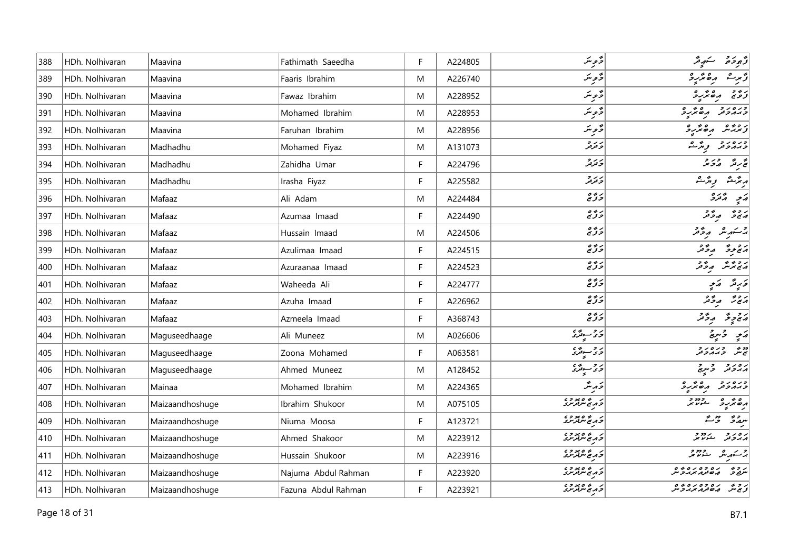| 388 | HDh. Nolhivaran | Maavina         | Fathimath Saeedha   | F           | A224805 | ۇ <sub>جو بىگە</sub>                                      | نځ بر د<br>ترجو حو<br>سەمەقر                                                                  |
|-----|-----------------|-----------------|---------------------|-------------|---------|-----------------------------------------------------------|-----------------------------------------------------------------------------------------------|
| 389 | HDh. Nolhivaran | Maavina         | Faaris Ibrahim      | M           | A226740 | ۇ ھەيىگە                                                  | ۇ بىر مە<br>دە ئەرد                                                                           |
| 390 | HDh. Nolhivaran | Maavina         | Fawaz Ibrahim       | M           | A228952 | ۇ ھەيىتر                                                  | $\overline{\widetilde{\mathcal{E}}\widetilde{\mathcal{E}}\widetilde{\mathcal{I}}}$<br>ەھ تررۇ |
| 391 | HDh. Nolhivaran | Maavina         | Mohamed Ibrahim     | M           | A228953 | ۇ ھەيىگە                                                  | و ر ه ر و<br>و پر پر <del>و</del> تر<br>دە ئەرۋ                                               |
| 392 | HDh. Nolhivaran | Maavina         | Faruhan Ibrahim     | M           | A228956 | ۇ ھەيىگە                                                  | ەھ ترىر ۋ<br>ر بر بر مر<br>تر بر بر مر                                                        |
| 393 | HDh. Nolhivaran | Madhadhu        | Mohamed Fiyaz       | M           | A131073 | ر ر و<br>و ترتر                                           | ىر مۇ ب<br>و ره ر د<br><i>د بر</i> د تر                                                       |
| 394 | HDh. Nolhivaran | Madhadhu        | Zahidha Umar        | $\mathsf F$ | A224796 | ر ر و<br>و ترتر                                           | ور و<br>مر <del>د</del> بر<br>ئىچ س <sub>ە</sub> قىر<br>ت                                     |
| 395 | HDh. Nolhivaran | Madhadhu        | Irasha Fiyaz        | F           | A225582 | ر ر د<br>تر تر تر                                         | و پڑ کے                                                                                       |
| 396 | HDh. Nolhivaran | Mafaaz          | Ali Adam            | M           | A224484 | ر پر ه<br><del>ر</del> تر م                               |                                                                                               |
| 397 | HDh. Nolhivaran | Mafaaz          | Azumaa Imaad        | $\mathsf F$ | A224490 | ترژی                                                      | $rac{2}{560}$<br>ەردىر                                                                        |
| 398 | HDh. Nolhivaran | Mafaaz          | Hussain Imaad       | M           | A224506 | ر ژه<br>د ژه                                              | يز سكر مراكب و مركز تر                                                                        |
| 399 | HDh. Nolhivaran | Mafaaz          | Azulimaa Imaad      | F           | A224515 | ر پره<br>د تر م                                           | ړې دی پروګر                                                                                   |
| 400 | HDh. Nolhivaran | Mafaaz          | Azuraanaa Imaad     | F           | A224523 | ر پە ە                                                    | رووی مرور                                                                                     |
| 401 | HDh. Nolhivaran | Mafaaz          | Waheeda Ali         | $\mathsf F$ | A224777 | ىر بەرە<br>تەنزى                                          | د په د کام                                                                                    |
| 402 | HDh. Nolhivaran | Mafaaz          | Azuha Imaad         | F           | A226962 | ر ژه<br>د ژه                                              | $\frac{2}{56}$<br>ەرگەتر                                                                      |
| 403 | HDh. Nolhivaran | Mafaaz          | Azmeela Imaad       | F           | A368743 | ر پە ە                                                    | ر دېږي<br>د پېړنې<br>ەدىر                                                                     |
| 404 | HDh. Nolhivaran | Maguseedhaage   | Ali Muneez          | M           | A026606 | ىر ج سى <sub>وتىرى</sub><br>ئەسىر                         | ړې د سرچ<br>مړينې                                                                             |
| 405 | HDh. Nolhivaran | Maguseedhaage   | Zoona Mohamed       | $\mathsf F$ | A063581 | ىر ج سىدىگرى<br>ئىرىگە                                    | מי ניסיב                                                                                      |
| 406 | HDh. Nolhivaran | Maguseedhaage   | Ahmed Muneez        | M           | A128452 | ىر ج سىدىتى<br>خ كى سى <sup>دى</sup> تىرى                 | גפני ביתיב                                                                                    |
| 407 | HDh. Nolhivaran | Mainaa          | Mohamed Ibrahim     | M           | A224365 | ځه پټر                                                    | ە ھەترىر ۋ<br>و رە ر د<br><i>د بر</i> گرىر                                                    |
| 408 | HDh. Nolhivaran | Maizaandhoshuge | Ibrahim Shukoor     | M           | A075105 | ىز مەنتى ھەجىر <i>د</i> ى<br>خەرىج سرقىرىرى               | ر و دو و<br>شونو مر<br>ەرھەترىر <sup>ى</sup>                                                  |
| 409 | HDh. Nolhivaran | Maizaandhoshuge | Niuma Moosa         | $\mathsf F$ | A123721 | ىز مەنتى ھەجىر <i>د</i> ى<br>خەرىج مىرقىرىرى              | سرويح                                                                                         |
| 410 | HDh. Nolhivaran | Maizaandhoshuge | Ahmed Shakoor       | M           | A223912 | ىر پە ھېچەدى<br>جەرىج مىزلىرىرى                           | ر ەر ج<br>م <i>.ئ</i> رى تىر<br>شەدە ج                                                        |
| 411 | HDh. Nolhivaran | Maizaandhoshuge | Hussain Shukoor     | M           | A223916 | ىر بە ھەدىرى<br>قەمەم سرپىرىرى                            | ج ڪهريش ڪرين جو                                                                               |
| 412 | HDh. Nolhivaran | Maizaandhoshuge | Najuma Abdul Rahman | F           | A223920 | ر په ۱۶۶۵ و <sup>م</sup><br>قرار مخ مرفر مر <sub>کب</sub> | ىر 3 بۇ<br>سرچ گ<br>ر ه و ه ر ه د ه<br>پره توپر <i>تو</i> پر <del>و</del> سر                  |
| 413 | HDh. Nolhivaran | Maizaandhoshuge | Fazuna Abdul Rahman | F           | A223921 | ئەرى <i>ج م</i> ۇيىرىرى<br>قەرى <i>ق مۇيىرىر</i> ى        | ر כ מ - קס כס קס מים<br>ציאיית - השינו <i>ת הב</i> ת                                          |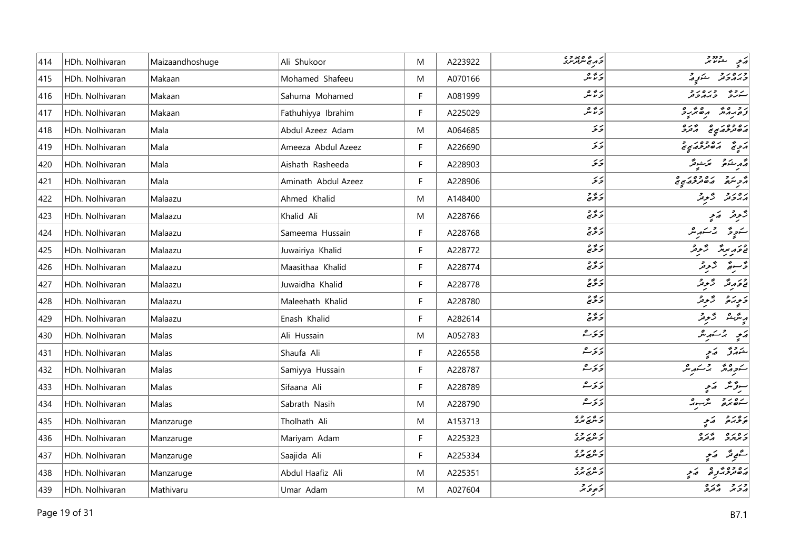| 414 | HDh. Nolhivaran | Maizaandhoshuge | Ali Shukoor         | M         | A223922 | پر پر ویو و ی<br>  ټرمرنځ سرفرسرۍ               |                                              |
|-----|-----------------|-----------------|---------------------|-----------|---------|-------------------------------------------------|----------------------------------------------|
| 415 | HDh. Nolhivaran | Makaan          | Mohamed Shafeeu     | M         | A070166 | ئە ئەشر                                         | ورەر دېم ئىر                                 |
| 416 | HDh. Nolhivaran | Makaan          | Sahuma Mohamed      | F         | A081999 | ىر ئەھ<br>جەنئىر                                | سترقر<br>و رە ر د<br><i>د ب</i> ەر تەر       |
| 417 | HDh. Nolhivaran | Makaan          | Fathuhiyya Ibrahim  | F         | A225029 | ىر ئە ھ<br>جەنئىر                               | و و و و مورد                                 |
| 418 | HDh. Nolhivaran | Mala            | Abdul Azeez Adam    | M         | A064685 | ىزى                                             | גם כסג ש<br>גם נקיבת <sub>ש</sub> ש הנקיב    |
| 419 | HDh. Nolhivaran | Mala            | Ameeza Abdul Azeez  | F         | A226690 | ۇت                                              |                                              |
| 420 | HDh. Nolhivaran | Mala            | Aishath Rasheeda    | F         | A228903 | ۇت                                              | و<br>وگرېشو گرېشونگر                         |
| 421 | HDh. Nolhivaran | Mala            | Aminath Abdul Azeez | F         | A228906 | زىز                                             |                                              |
| 422 | HDh. Nolhivaran | Malaazu         | Ahmed Khalid        | M         | A148400 | ىر بۇ ج                                         | رەرد ژوپر                                    |
| 423 | HDh. Nolhivaran | Malaazu         | Khalid Ali          | M         | A228766 | ر بو و<br>تر نوم                                | أرَّحِينَ الْمَاحِيَّ                        |
| 424 | HDh. Nolhivaran | Malaazu         | Sameema Hussain     | F         | A228768 | ىر ئۇ ج                                         | سكورة الاسكرين                               |
| 425 | HDh. Nolhivaran | Malaazu         | Juwairiya Khalid    | F         | A228772 | ترتزج                                           | ور<br>وه برگ الگرفتر<br>و الگرفتر الگرفتر    |
| 426 | HDh. Nolhivaran | Malaazu         | Maasithaa Khalid    | F         | A228774 | ىر بۇ ج                                         |                                              |
| 427 | HDh. Nolhivaran | Malaazu         | Juwaidha Khalid     | F         | A228778 | ىر بۇ ج                                         | و ر<br>نح تو <sub>مر</sub> فر<br>رَّحْوِمْرُ |
| 428 | HDh. Nolhivaran | Malaazu         | Maleehath Khalid    | F         | A228780 | ىر ئۇ ج                                         | كالمحارثية المتحافية                         |
| 429 | HDh. Nolhivaran | Malaazu         | Enash Khalid        | F         | A282614 | ىر بۇ ج                                         | رسترینه<br>نو<br>رٌوِتر                      |
| 430 | HDh. Nolhivaran | Malas           | Ali Hussain         | M         | A052783 | ىز ئە                                           | أەسمج سىسكىر بىر                             |
| 431 | HDh. Nolhivaran | Malas           | Shaufa Ali          | F         | A226558 | ىزىم                                            | أخورتم أركمني                                |
| 432 | HDh. Nolhivaran | Malas           | Samiyya Hussain     | F         | A228787 | ئەنزىشە                                         | سودر<br>جرسئەرىتىر                           |
| 433 | HDh. Nolhivaran | Malas           | Sifaana Ali         | F         | A228789 | ىزىمى                                           | سوڈنٹر انجام                                 |
| 434 | HDh. Nolhivaran | Malas           | Sabrath Nasih       | M         | A228790 | ىز ئە                                           | ره بر د                                      |
| 435 | HDh. Nolhivaran | Manzaruge       | Tholhath Ali        | ${\sf M}$ | A153713 | ر ۵ ر و ،<br><del>د</del> نتر <del>ی</del> مرد  | پره پر په کیمو                               |
| 436 | HDh. Nolhivaran | Manzaruge       | Mariyam Adam        | F         | A225323 | ر در د د<br>تر سربح بور                         | ر ه ر ه<br>د بربر د<br>پور ہ<br>مرکز ژ       |
| 437 | HDh. Nolhivaran | Manzaruge       | Saajida Ali         | F         | A225334 | ر ۵ ر د ۷<br><del>ر</del> نتریخ مر <sub>ک</sub> | ستھومتر - مزمجہ                              |
| 438 | HDh. Nolhivaran | Manzaruge       | Abdul Haafiz Ali    | M         | A225351 | ر ه ر د ،<br>تر سرچ برو                         |                                              |
| 439 | HDh. Nolhivaran | Mathivaru       | Umar Adam           | ${\sf M}$ | A027604 | ځوړځه                                           | ور و پره<br><i>م</i> حر گرمر                 |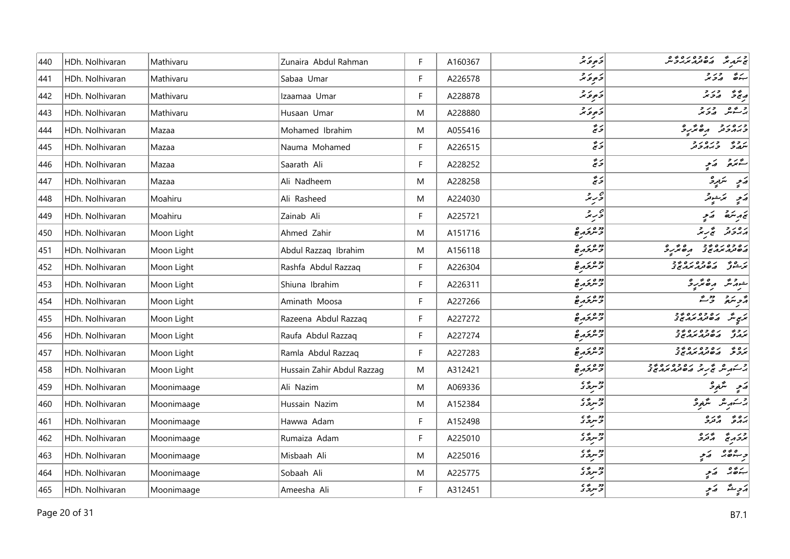| 440 | HDh. Nolhivaran | Mathivaru  | Zunaira Abdul Rahman       | F         | A160367 | ځوړځه                              | ره وه ره ده<br>په هنرم بربر څس<br>ة<br>المح مكرمتر                 |
|-----|-----------------|------------|----------------------------|-----------|---------|------------------------------------|--------------------------------------------------------------------|
| 441 | HDh. Nolhivaran | Mathivaru  | Sabaa Umar                 | F         | A226578 | بر مر د                            | بەئ<br>و ر و<br>در د بر                                            |
| 442 | HDh. Nolhivaran | Mathivaru  | Izaamaa Umar               | F         | A228878 | ځوړځه                              | اریخ<br>و ر و<br>در د بر                                           |
| 443 | HDh. Nolhivaran | Mathivaru  | Husaan Umar                | M         | A228880 | ځوړځه                              | ج مشر مدد و در د                                                   |
| 444 | HDh. Nolhivaran | Mazaa      | Mohamed Ibrahim            | M         | A055416 | ريح                                | وە ئۆرۈ<br>و ره ر و<br><i>و پر</i> و تر                            |
| 445 | HDh. Nolhivaran | Mazaa      | Nauma Mohamed              | F         | A226515 | رَجٌ                               | و ر ه ر د<br>تربر تر تر<br>سروی                                    |
| 446 | HDh. Nolhivaran | Mazaa      | Saarath Ali                | F         | A228252 | ترمج                               | ستهزه ارزم                                                         |
| 447 | HDh. Nolhivaran | Mazaa      | Ali Nadheem                | ${\sf M}$ | A228258 | رَجٌ                               | ړې شمېره<br>د سرچ                                                  |
| 448 | HDh. Nolhivaran | Moahiru    | Ali Rasheed                | ${\sf M}$ | A224030 | <br> خرسه مر                       | ر<br>د کار کار دیگر                                                |
| 449 | HDh. Nolhivaran | Moahiru    | Zainab Ali                 | F         | A225721 | حربيته                             | يمرسرة<br>رځمو                                                     |
| 450 | HDh. Nolhivaran | Moon Light | Ahmed Zahir                | M         | A151716 | وده پر ه                           | رەرو ئېرىژ                                                         |
| 451 | HDh. Nolhivaran | Moon Light | Abdul Razzaq Ibrahim       | M         | A156118 | وحريجه وهج                         | ەھ ترىرى<br>ر ٥ ر ٥ ر ٥ <u>۶</u><br>۵ ر <i>ه تو ۸ بو</i> ۸ س       |
| 452 | HDh. Nolhivaran | Moon Light | Rashfa Abdul Razzaq        | F         | A226304 | ومرتزرة                            | ر ە ئەسرە دەرە بەر<br>تىرىشوتى بەھ تىربىر تىرىمى تى                |
| 453 | HDh. Nolhivaran | Moon Light | Shiuna Ibrahim             | F         | A226311 | ده وره<br>  د سر <sub>م کر</sub> ه | ە ھەترىر ۋ<br>اڪورچين<br>پ                                         |
| 454 | HDh. Nolhivaran | Moon Light | Aminath Moosa              | F         | A227266 | وده پر ه                           | دين شهر<br>أرمز ترة                                                |
| 455 | HDh. Nolhivaran | Moon Light | Razeena Abdul Razzaq       | F         | A227272 | ریوبر ہ                            | ر ٥ ر ٥ ر ٥ ر <del>٥</del><br>پر@تر ۾ <i>بر</i> ۾ ج<br>ىمەسچە ئىگر |
| 456 | HDh. Nolhivaran | Moon Light | Raufa Abdul Razzaq         | F         | A227274 | التشريخ برقع                       | 1010707<br>גיס <i>בנ</i> וז <i>יב</i> וז יב<br>بروبج               |
| 457 | HDh. Nolhivaran | Moon Light | Ramla Abdul Razzaq         | F         | A227283 | وتمرزم                             | נים ניסיפים ביטריים<br>מכיל השניות ממש                             |
| 458 | HDh. Nolhivaran | Moon Light | Hussain Zahir Abdul Razzag | M         | A312421 | وده پر ه                           |                                                                    |
| 459 | HDh. Nolhivaran | Moonimaage | Ali Nazim                  | M         | A069336 | ود سرچ ی<br>څسرچ <sub>ک</sub>      | متزوجه<br>ەئىچە                                                    |
| 460 | HDh. Nolhivaran | Moonimaage | Hussain Nazim              | M         | A152384 | دو په په<br>د سرچ د                | جر س <sub>ک</sub> ر مگر<br>سَّرْهِ رُ                              |
| 461 | HDh. Nolhivaran | Moonimaage | Hawwa Adam                 | F         | A152498 | دو<br>ترسرچری                      | رەپچ<br>پور ہ<br>مرتون                                             |
| 462 | HDh. Nolhivaran | Moonimaage | Rumaiza Adam               | F         | A225010 | دو په په<br>د سرچ د                | بردكر<br>پر ہ<br>مرکزو                                             |
| 463 | HDh. Nolhivaran | Moonimaage | Misbaah Ali                | ${\sf M}$ | A225016 | دو په په<br>د سرچنې                | ادبيقة<br>برنبي                                                    |
| 464 | HDh. Nolhivaran | Moonimaage | Sobaah Ali                 | M         | A225775 | ود سرچری                           | 20.7<br>رځمنه                                                      |
| 465 | HDh. Nolhivaran | Moonimaage | Ameesha Ali                | F         | A312451 | دو په په<br>تر سرچ ک               | پَرچِی کے پی                                                       |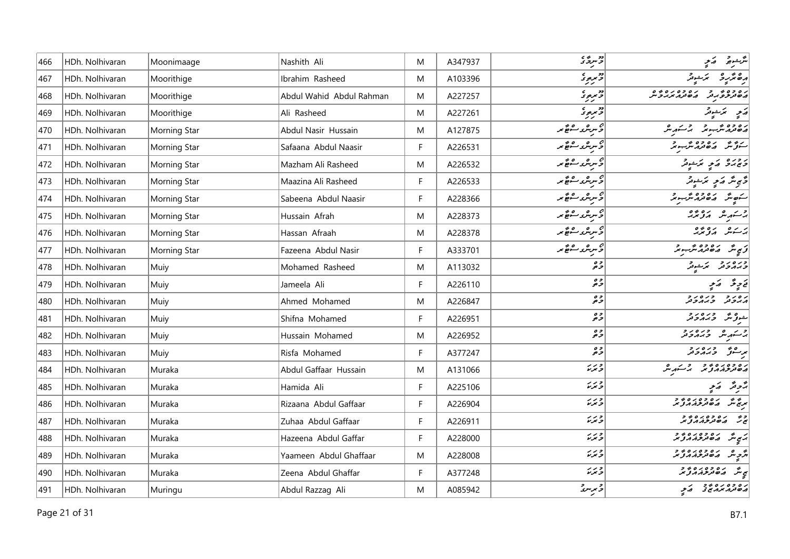| 466 | HDh. Nolhivaran | Moonimaage          | Nashith Ali              | M         | A347937 | دو په په<br>تر سرچ ک                   | مگرې <u>دون</u> و<br>مسلم<br>ەنىيە                     |
|-----|-----------------|---------------------|--------------------------|-----------|---------|----------------------------------------|--------------------------------------------------------|
| 467 | HDh. Nolhivaran | Moorithige          | Ibrahim Rasheed          | ${\sf M}$ | A103396 | دد<br>څنوبرو د                         | $\frac{2}{x^{2}+2x^{2}}$ $\frac{2}{x^{2}+2x^{2}}$      |
| 468 | HDh. Nolhivaran | Moorithige          | Abdul Wahid Abdul Rahman | M         | A227257 | دد<br>تر مرجو د                        | נים בי יום בינים בים היום ביים.<br>השתתפיגת השתהיה בית |
| 469 | HDh. Nolhivaran | Moorithige          | Ali Rasheed              | M         | A227261 | دد<br>څممرحو ک                         | أركمني المخرسفيونس                                     |
| 470 | HDh. Nolhivaran | Morning Star        | Abdul Nasir Hussain      | M         | A127875 | <sup>9</sup> سرى <sup>ق</sup> رىمىقىمە | رە دە ئەسىر بەسكەس                                     |
| 471 | HDh. Nolhivaran | <b>Morning Star</b> | Safaana Abdul Naasir     | F         | A226531 | ا ئۇ سرىئى <sub>رى</sub> مەھقىمە       | روم دەدە مەر                                           |
| 472 | HDh. Nolhivaran | Morning Star        | Mazham Ali Rasheed       | M         | A226532 | ۇ بىرى <i>گى م</i> ىقىم                | ويجدوا كالمجا المراشوقر                                |
| 473 | HDh. Nolhivaran | Morning Star        | Maazina Ali Rasheed      | F         | A226533 | ە بىرى <i>گى ش</i> ۇر                  | ۇي ئە كەب كەشپە                                        |
| 474 | HDh. Nolhivaran | Morning Star        | Sabeena Abdul Naasir     | F         | A228366 | ئۇسرىئرى سىقى بىر                      | سوم شهره مورد مورد                                     |
| 475 | HDh. Nolhivaran | Morning Star        | Hussain Afrah            | ${\sf M}$ | A228373 | ۇ سرىئرى سىۋىمە                        | ج سکهر شر مرو محرمه                                    |
| 476 | HDh. Nolhivaran | Morning Star        | Hassan Afraah            | M         | A228378 | ۇ سرىئرى سۇغ بر                        | ير کے مگر مرد وہ د                                     |
| 477 | HDh. Nolhivaran | Morning Star        | Fazeena Abdul Nasir      | F         | A333701 | ج <sub>ى مىر</sub> بىرى كەنتىم بىر     | تي تر ماڻھ مار ترجي جي ا                               |
| 478 | HDh. Nolhivaran | Muiy                | Mohamed Rasheed          | M         | A113032 | و ه<br>حرم                             | وره رو ترشوتر<br><i>وبرود تر</i> شوتر                  |
| 479 | HDh. Nolhivaran | Muiy                | Jameela Ali              | F         | A226110 | و ه<br>حرمو                            | تخ وقر سكني                                            |
| 480 | HDh. Nolhivaran | Muiy                | Ahmed Mohamed            | M         | A226847 | و ه<br>حرمو                            | ر ס ג פ ג ס ג כ<br>ג ג ב ג ג ג ב ג                     |
| 481 | HDh. Nolhivaran | Muiy                | Shifna Mohamed           | F         | A226951 | و ه<br>ترخی                            | جوهر وره دو                                            |
| 482 | HDh. Nolhivaran | Muiy                | Hussain Mohamed          | M         | A226952 | وه                                     | جر شهر شده در در د                                     |
| 483 | HDh. Nolhivaran | Muiy                | Risfa Mohamed            | F         | A377247 | و ه<br>حرم                             | ەر 2007 - 2007<br>موسىقى ئەمەرىمى                      |
| 484 | HDh. Nolhivaran | Muraka              | Abdul Gaffaar Hussain    | M         | A131066 | ويرز                                   | رە دەرەپ دېرىر<br>مەھىرىزىدىر برىش ش                   |
| 485 | HDh. Nolhivaran | Muraka              | Hamida Ali               | F         | A225106 | ويرز                                   | يُرْدِمُ كَمَنٍّ                                       |
| 486 | HDh. Nolhivaran | Muraka              | Rizaana Abdul Gaffaar    | F         | A226904 | ويرز                                   | بری شهر ده وه بره بر و                                 |
| 487 | HDh. Nolhivaran | Muraka              | Zuhaa Abdul Gaffaar      | F         | A226911 | ويرر                                   | و ده ده وه ده و و<br>  پن در محمد د مرکز مر            |
| 488 | HDh. Nolhivaran | Muraka              | Hazeena Abdul Gaffar     | F         | A228000 | ويرر                                   | ر<br>برې ش ماه <i>موره ورو</i> بر                      |
| 489 | HDh. Nolhivaran | Muraka              | Yaameen Abdul Ghaffaar   | ${\sf M}$ | A228008 | ويرر                                   | و می ده ده ده دو د<br>ترد شاه می تر در مر              |
| 490 | HDh. Nolhivaran | Muraka              | Zeena Abdul Ghaffar      | F         | A377248 | ويرر                                   | ىچ ئىگر<br>ر ه و ه د ه د و و<br>پره تر پر تر تر تر     |
| 491 | HDh. Nolhivaran | Muringu             | Abdul Razzag Ali         | M         | A085942 | وبرسر                                  | גם כסגם שב ה'ת                                         |
|     |                 |                     |                          |           |         |                                        |                                                        |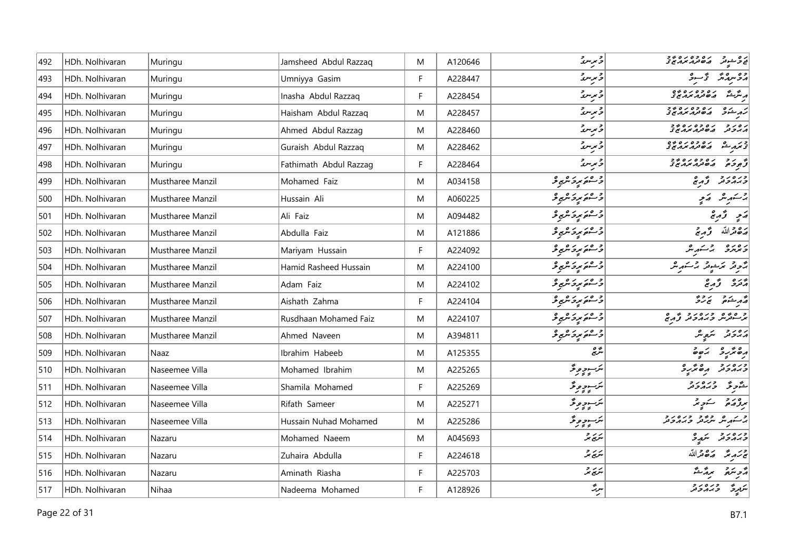| 492 | HDh. Nolhivaran | Muringu          | Jamsheed Abdul Razzaq  | M | A120646 | ومرسر                                         | ره ده ده ده ده ده د                                                     |
|-----|-----------------|------------------|------------------------|---|---------|-----------------------------------------------|-------------------------------------------------------------------------|
| 493 | HDh. Nolhivaran | Muringu          | Umniyya Gasim          | F | A228447 | وتمرسو                                        | ג <i>ב<sub>ינגה יצ</sub></i> יב                                         |
| 494 | HDh. Nolhivaran | Muringu          | Inasha Abdul Razzaq    | F | A228454 | وتمرسد                                        | ەرىتزىنىش                                                               |
| 495 | HDh. Nolhivaran | Muringu          | Haisham Abdul Razzaq   | M | A228457 | وتمرسر                                        |                                                                         |
| 496 | HDh. Nolhivaran | Muringu          | Ahmed Abdul Razzag     | M | A228460 | ومرسو                                         | נסני נסיפסנסטיב<br>ממכת מסתמממי                                         |
| 497 | HDh. Nolhivaran | Muringu          | Guraish Abdul Razzaq   | M | A228462 | وتمرسو                                        | ر ۵ ۵ ۵ ۵ ۵ ۵ ۵<br>ג@تر <i>ף. پو</i> ړینځ<br>ا تو بر <sub>م</sub> ر مشر |
| 498 | HDh. Nolhivaran | Muringu          | Fathimath Abdul Razzag | F | A228464 | 3 برسرم                                       | ף גל גםכם גם מב                                                         |
| 499 | HDh. Nolhivaran | Mustharee Manzil | Mohamed Faiz           | M | A034158 | ۇ ش <sub>ەھ</sub> م بەر ئەر بور               | ورەرو ئەرە                                                              |
| 500 | HDh. Nolhivaran | Mustharee Manzil | Hussain Ali            | M | A060225 | <i>د مصمر پر شه</i> ر محمد م                  | برستهر شرامتهم                                                          |
| 501 | HDh. Nolhivaran | Mustharee Manzil | Ali Faiz               | M | A094482 | ۇ س <sub>ەھ ئېرى</sub> ئىرىج ۋ                | أتذمي المحرم في                                                         |
| 502 | HDh. Nolhivaran | Mustharee Manzil | Abdulla Faiz           | M | A121886 | ۇ س <sub></sub> مۇ بېرىگىرى<br>ئ              | برە دالله محمد                                                          |
| 503 | HDh. Nolhivaran | Mustharee Manzil | Mariyam Hussain        | F | A224092 | ۇ مەم پرۇش <sub>ك</sub> و                     | גם גם - 2 האת יית                                                       |
| 504 | HDh. Nolhivaran | Mustharee Manzil | Hamid Rasheed Hussain  | M | A224100 | ۇ مەم پرۇت <sub>ىرى</sub> ۋ                   | جحوفر بمشوقر جمسكرهر                                                    |
| 505 | HDh. Nolhivaran | Mustharee Manzil | Adam Faiz              | M | A224102 | ۇ مەم پرۇش <sub>كى</sub> ۋ                    | وره و دي                                                                |
| 506 | HDh. Nolhivaran | Mustharee Manzil | Aishath Zahma          | F | A224104 | ۇ ش <sub>ەھ</sub> م بەر ئەرىج ۋ               | وكرمشكو بمردو                                                           |
| 507 | HDh. Nolhivaran | Mustharee Manzil | Rusdhaan Mohamed Faiz  | M | A224107 | د مەم پرەكرىم بى                              | و ه ده و دره د و و و                                                    |
| 508 | HDh. Nolhivaran | Mustharee Manzil | Ahmed Naveen           | M | A394811 | ۇ ش <sub>ەھ</sub> م پر ئەش <sub>كى</sub> ر ئى | پرورو سکوپیگر                                                           |
| 509 | HDh. Nolhivaran | Naaz             | Ibrahim Habeeb         | M | A125355 | سرچ                                           | תפתוב גם                                                                |
| 510 | HDh. Nolhivaran | Naseemee Villa   | Mohamed Ibrahim        | M | A225265 | ىئرسوچە بۇ                                    | כמחכת תפתיכ                                                             |
| 511 | HDh. Nolhivaran | Naseemee Villa   | Shamila Mohamed        | F | A225269 | ىئرسوچە بۇ<br>ئىستىقى بەر                     | و رە ر د<br>تر پروتر<br>ڪُورگر<br>س                                     |
| 512 | HDh. Nolhivaran | Naseemee Villa   | Rifath Sameer          | M | A225271 | ىئرسوچە بۇ<br>ئىستىقىلىر                      | أبرودة ومستويته                                                         |
| 513 | HDh. Nolhivaran | Naseemee Villa   | Hussain Nuhad Mohamed  | M | A225286 | ىئەسىرە دۇ.<br>ئىسمىيە                        | و کر هر شرکتر وره د و<br>پرکسکر س                                       |
| 514 | HDh. Nolhivaran | Nazaru           | Mohamed Naeem          | M | A045693 | بر بر حر<br>سرچ تنز                           | ورەرو شھرو                                                              |
| 515 | HDh. Nolhivaran | Nazaru           | Zuhaira Abdulla        | F | A224618 | سرنج تنر                                      | تح ترمريخه وكافقة الله                                                  |
| 516 | HDh. Nolhivaran | Nazaru           | Aminath Riasha         | F | A225703 | سرچ پر                                        | أأوسكم برأيك                                                            |
| 517 | HDh. Nolhivaran | Nihaa            | Nadeema Mohamed        | F | A128926 | سرچ                                           | شرير ورەرد                                                              |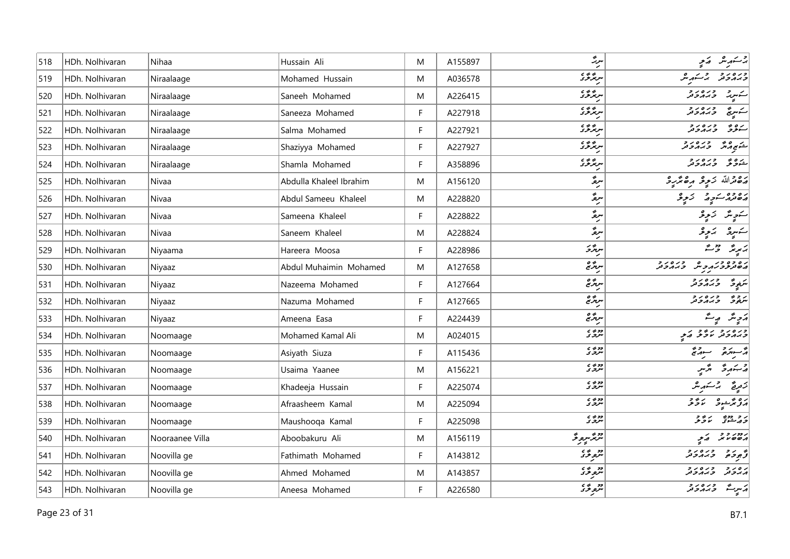| 518 | HDh. Nolhivaran | Nihaa           | Hussain Ali             | M  | A155897 | سرچ                                |                                                                                                                                                                                                                                  |
|-----|-----------------|-----------------|-------------------------|----|---------|------------------------------------|----------------------------------------------------------------------------------------------------------------------------------------------------------------------------------------------------------------------------------|
| 519 | HDh. Nolhivaran | Niraalaage      | Mohamed Hussain         | M  | A036578 | سرپڑ پی کا                         | رحمد عدد المعجم المعرف المحدد المحدد المحدد المحدد المحدد المحدد المحدد المحدد المحدد المحدد المحدد المحدد الم<br>ويرورون المرحمد المحدد المحدد المحدد المحدد المحدد المحدد المحدد المحدد المحدد المحدد المحدد المحدد المحدد الم |
| 520 | HDh. Nolhivaran | Niraalaage      | Saneeh Mohamed          | M  | A226415 | سرپڑی                              | سكسر ورورد                                                                                                                                                                                                                       |
| 521 | HDh. Nolhivaran | Niraalaage      | Saneeza Mohamed         | F  | A227918 | سرپڑ پڑی                           | سکسریح ویرورو                                                                                                                                                                                                                    |
| 522 | HDh. Nolhivaran | Niraalaage      | Salma Mohamed           | F  | A227921 | سرپڑی<br>سرپڑی                     | رووس ورەرو                                                                                                                                                                                                                       |
| 523 | HDh. Nolhivaran | Niraalaage      | Shaziyya Mohamed        | F  | A227927 | سرپرڅو                             | شوره وره دو                                                                                                                                                                                                                      |
| 524 | HDh. Nolhivaran | Niraalaage      | Shamla Mohamed          | F. | A358896 | سرپژويچ                            | شوي ورەرو                                                                                                                                                                                                                        |
| 525 | HDh. Nolhivaran | Nivaa           | Abdulla Khaleel Ibrahim | M  | A156120 | سرچٌ                               | رە داللە ئەر دە ئربۇ                                                                                                                                                                                                             |
| 526 | HDh. Nolhivaran | Nivaa           | Abdul Sameeu Khaleel    | M  | A228820 | سرچٌ                               | גە دە سوچ" ئىرو                                                                                                                                                                                                                  |
| 527 | HDh. Nolhivaran | Nivaa           | Sameena Khaleel         | F  | A228822 | سرچ                                | <i>ڪوينگ ڏوِي</i> و                                                                                                                                                                                                              |
| 528 | HDh. Nolhivaran | Nivaa           | Saneem Khaleel          | M  | A228824 | سرچٌ                               | $\begin{array}{cc} \begin{array}{cc} \cdot & \cdot & \cdot \\ \cdot & \cdot & \cdot \\ \cdot & \cdot & \cdot \\ \cdot & \cdot & \cdot \end{array} \end{array}$                                                                   |
| 529 | HDh. Nolhivaran | Niyaama         | Hareera Moosa           | F  | A228986 | سردر                               | ر<br>رسم پر مخت                                                                                                                                                                                                                  |
| 530 | HDh. Nolhivaran | Niyaaz          | Abdul Muhaimin Mohamed  | M  | A127658 | سرومج                              | גם כפרג ביני הברי הדי הר                                                                                                                                                                                                         |
| 531 | HDh. Nolhivaran | Niyaaz          | Nazeema Mohamed         | F  | A127664 | سرمرج                              | ىك <sub>ن</sub> ېچە <i>قىدەر</i> د                                                                                                                                                                                               |
| 532 | HDh. Nolhivaran | Niyaaz          | Nazuma Mohamed          | F  | A127665 | سرپڑھ                              | يروه وره رو                                                                                                                                                                                                                      |
| 533 | HDh. Nolhivaran | Niyaaz          | Ameena Easa             | F  | A224439 | سرپڑھ                              | أرَدِيرٌ الْإِبْ                                                                                                                                                                                                                 |
| 534 | HDh. Nolhivaran | Noomaage        | Mohamed Kamal Ali       | M  | A024015 | وو پر پر<br>سرچ پ                  | ورەرو رود كەير                                                                                                                                                                                                                   |
| 535 | HDh. Nolhivaran | Noomaage        | Asiyath Siuza           | F. | A115436 | وو پر پر<br>سرچ پ                  | $\frac{1}{6}$                                                                                                                                                                                                                    |
| 536 | HDh. Nolhivaran | Noomaage        | Usaima Yaanee           | M  | A156221 | وو پر پر<br>سرچ <sub>ک</sub>       |                                                                                                                                                                                                                                  |
| 537 | HDh. Nolhivaran | Noomaage        | Khadeeja Hussain        | F. | A225074 | وو پر پر<br>سرچ ک                  | زَمِيعٌ بِرْسَمَهِ شَرْ                                                                                                                                                                                                          |
| 538 | HDh. Nolhivaran | Noomaage        | Afraasheem Kamal        | M  | A225094 | وو پر پر<br>سرچ <sub>ک</sub>       | رە بۇ بۇ بۇ بەر<br>مۇنى بۇ بۇ بۇ بۇ                                                                                                                                                                                              |
| 539 | HDh. Nolhivaran | Noomaage        | Maushooga Kamal         | F  | A225098 | وو پر پر<br>سرچ <sub>ک</sub>       | رو دوم روو                                                                                                                                                                                                                       |
| 540 | HDh. Nolhivaran | Nooraanee Villa | Aboobakuru Ali          | M  | A156119 | يزىر<br>سرىر سرە بە                | 500000                                                                                                                                                                                                                           |
| 541 | HDh. Nolhivaran | Noovilla ge     | Fathimath Mohamed       | F  | A143812 | دد<br>متره پوځو                    | أزجوحه وره دو                                                                                                                                                                                                                    |
| 542 | HDh. Nolhivaran | Noovilla ge     | Ahmed Mohamed           | M  | A143857 | دد پر پر<br>سر <sub>گر</sub> بر بر | پره پر و<br>و ر ه ر د<br>تر پر ژ تر                                                                                                                                                                                              |
| 543 | HDh. Nolhivaran | Noovilla ge     | Aneesa Mohamed          | F  | A226580 | دد<br>متر <sub>جو</sub> بحری       | أرسرت وبرورو                                                                                                                                                                                                                     |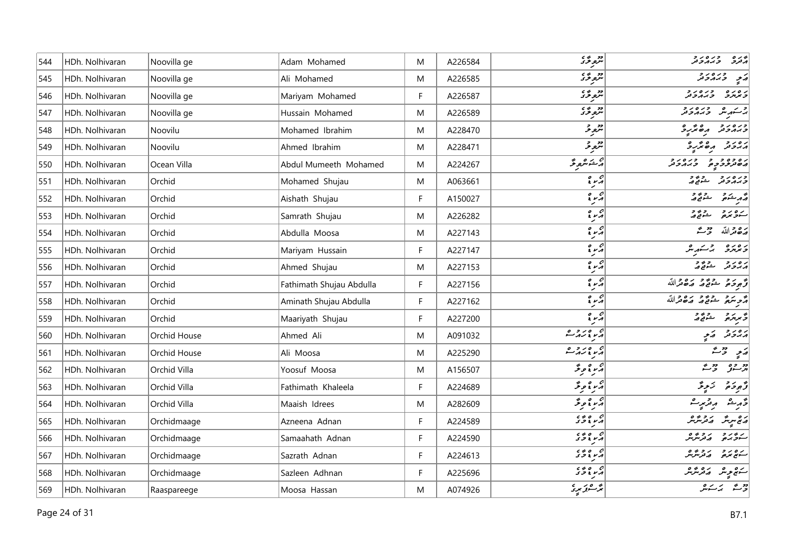| 544 | HDh. Nolhivaran | Noovilla ge  | Adam Mohamed             | M | A226584 | دد<br>شرع څر                                                                | و ره ر د<br><i>د ب</i> رگرفر<br>پە رە<br>مەنزۈ                |
|-----|-----------------|--------------|--------------------------|---|---------|-----------------------------------------------------------------------------|---------------------------------------------------------------|
| 545 | HDh. Nolhivaran | Noovilla ge  | Ali Mohamed              | M | A226585 | دد<br>متره بخری                                                             | أوسم وبرودر                                                   |
| 546 | HDh. Nolhivaran | Noovilla ge  | Mariyam Mohamed          | F | A226587 | دد<br>متر <sub>جو</sub> بحری                                                | ر ه ر ه<br><del>د</del> بربرگ<br>و ره ر و<br><i>و پر</i> و تر |
| 547 | HDh. Nolhivaran | Noovilla ge  | Hussain Mohamed          | M | A226589 | دد<br>متر <sub>جو م</sub> حرى                                               | ورەر د<br><i>دى</i> رمەتر<br>جر س <sub>ک</sub> ر مگر          |
| 548 | HDh. Nolhivaran | Noovilu      | Mohamed Ibrahim          | M | A228470 | يترعر قحه                                                                   | و ر ه ر و<br>تر پر ژ تر<br>ەرھەترىر <sup>ى</sup>              |
| 549 | HDh. Nolhivaran | Noovilu      | Ahmed Ibrahim            | M | A228471 | يتره چر                                                                     | גפנק השתניק                                                   |
| 550 | HDh. Nolhivaran | Ocean Villa  | Abdul Mumeeth Mohamed    | M | A224267 | ە ئەنگىرىدىگە<br>م                                                          | و ر ه ر و<br>تر پر ژ تر<br>ر ه د ه د د<br>پرهنرمرد د و        |
| 551 | HDh. Nolhivaran | Orchid       | Mohamed Shujau           | M | A063661 | رمره                                                                        | و ر ه ر د<br>د بر د تر<br>ے جنگے وگر                          |
| 552 | HDh. Nolhivaran | Orchid       | Aishath Shujau           | F | A150027 | $\left  \begin{array}{cc} c & c \ c & c \end{array} \right $                | و در شکوه در دور<br>در کار شکوهای                             |
| 553 | HDh. Nolhivaran | Orchid       | Samrath Shujau           | M | A226282 | $\ddot{\mathbf{r}}$                                                         | سەۋىر د<br>شەقى ھ                                             |
| 554 | HDh. Nolhivaran | Orchid       | Abdulla Moosa            | M | A227143 | $rac{1}{2}$                                                                 | مَەھْرَاللَّهُ حَرْجٌ                                         |
| 555 | HDh. Nolhivaran | Orchid       | Mariyam Hussain          | F | A227147 | $rac{1}{2}$                                                                 | دەرە جىكەش                                                    |
| 556 | HDh. Nolhivaran | Orchid       | Ahmed Shujau             | M | A227153 | لرمره<br>╭                                                                  | ره رح در در در<br>دربرو در مشوق پر                            |
| 557 | HDh. Nolhivaran | Orchid       | Fathimath Shujau Abdulla | F | A227156 | ومرہ                                                                        | و برد و و بره دالله                                           |
| 558 | HDh. Nolhivaran | Orchid       | Aminath Shujau Abdulla   | F | A227162 | لرموء<br>∽                                                                  | محر مرد و دوم مردم والله                                      |
| 559 | HDh. Nolhivaran | Orchid       | Maariyath Shujau         | F | A227200 | $\begin{bmatrix} 0 & \mathcal{C} \ \mathcal{C} & \mathcal{S} \end{bmatrix}$ |                                                               |
| 560 | HDh. Nolhivaran | Orchid House | Ahmed Ali                | M | A091032 | ه په ده ده ه<br>مربو سر                                                     | ړه رو ځې                                                      |
| 561 | HDh. Nolhivaran | Orchid House | Ali Moosa                | M | A225290 | ە بەر ئەرمىيە<br>مەس                                                        | أريموا المحر المتعم                                           |
| 562 | HDh. Nolhivaran | Orchid Villa | Yoosuf Moosa             | M | A156507 | ەر بە ئەرگە<br>مەس ئەر                                                      | در حره<br>چ مئے                                               |
| 563 | HDh. Nolhivaran | Orchid Villa | Fathimath Khaleela       | F | A224689 | ې په هې د څه                                                                | ۇ <sub>ج</sub> ودۇ ئېچى                                       |
| 564 | HDh. Nolhivaran | Orchid Villa | Maaish Idrees            | M | A282609 | ەر بە <sub>ھو</sub> ئە                                                      | ىر قرىبە مە<br>س<br>ۇ ب <sub>ەش</sub>                         |
| 565 | HDh. Nolhivaran | Orchidmaage  | Azneena Adnan            | F | A224589 |                                                                             | پر دیگر میں<br>در سرسر<br>ر ۾ سريئر<br>مربح سريئر             |
| 566 | HDh. Nolhivaran | Orchidmaage  | Samaahath Adnan          | F | A224590 |                                                                             | ر در در در در در در ش                                         |
| 567 | HDh. Nolhivaran | Orchidmaage  | Sazrath Adnan            | F | A224613 |                                                                             | رەپرو پروپۇر                                                  |
| 568 | HDh. Nolhivaran | Orchidmaage  | Sazleen Adhnan           | F | A225696 | ه<br>د سره د د                                                              | سەھ پەر كەنگەش                                                |
| 569 | HDh. Nolhivaran | Raaspareege  | Moosa Hassan             | M | A074926 | ىترىش <sub>ۇر ئىبرى</sub>                                                   | و <i>زنگ بر ک</i> مکر                                         |
|     |                 |              |                          |   |         |                                                                             |                                                               |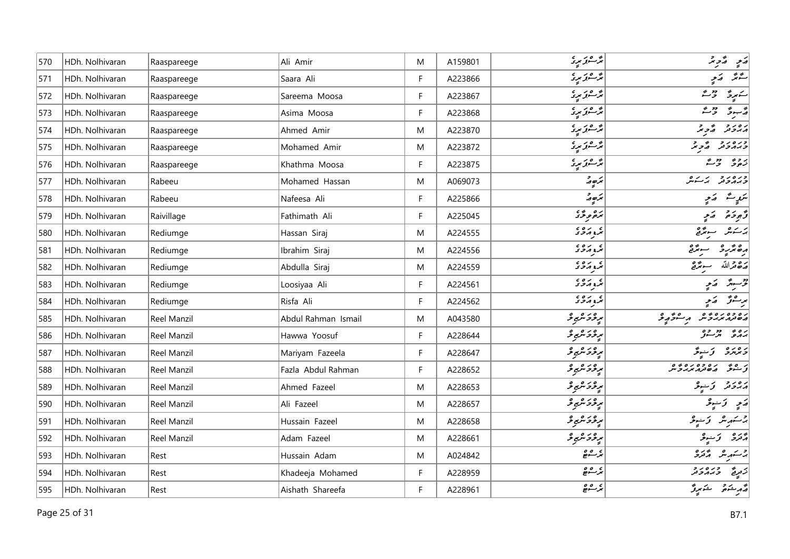| 570 | HDh. Nolhivaran | Raaspareege        | Ali Amir            | M  | A159801 | ېژىش <sub>ن</sub> ۇ ئىر <sub>ى</sub>  | ړې پرېژ                                                                                       |
|-----|-----------------|--------------------|---------------------|----|---------|---------------------------------------|-----------------------------------------------------------------------------------------------|
| 571 | HDh. Nolhivaran | Raaspareege        | Saara Ali           | F  | A223866 | ېژىش <sub>ن</sub> ۇ ئېرى <sup>ي</sup> | $\frac{2}{\sqrt{2}}$<br>رځمني                                                                 |
| 572 | HDh. Nolhivaran | Raaspareege        | Sareema Moosa       | F  | A223867 | ېژىسى <i>نى بى</i> ر <sup>ى</sup>     | دو مح<br>سەمبەر                                                                               |
| 573 | HDh. Nolhivaran | Raaspareege        | Asima Moosa         | F  | A223868 | ېژىشو ئەسىرى<br>م                     | رمج سبزقر<br>دين شر                                                                           |
| 574 | HDh. Nolhivaran | Raaspareege        | Ahmed Amir          | M  | A223870 | ېژىش <sub>ن</sub> ۇ ئىر <sub>ى</sub>  | رەرو ۋە                                                                                       |
| 575 | HDh. Nolhivaran | Raaspareege        | Mohamed Amir        | M  | A223872 | ېژىش <sub>ن</sub> ىر تىرى             | כנסנב בבב                                                                                     |
| 576 | HDh. Nolhivaran | Raaspareege        | Khathma Moosa       | F  | A223875 | ېژىش <sub>ۇر ئىمپرى</sub>             | زروی وژنٹ                                                                                     |
| 577 | HDh. Nolhivaran | Rabeeu             | Mohamed Hassan      | M  | A069073 | بر<br>مرہ م                           | ورەرو پەسەر                                                                                   |
| 578 | HDh. Nolhivaran | Rabeeu             | Nafeesa Ali         | F  | A225866 | برَه د                                | ىترىپە<br>رځمنې                                                                               |
| 579 | HDh. Nolhivaran | Raivillage         | Fathimath Ali       | F  | A225045 | ره<br>بر <sub>گ</sub> ورځۍ            | و مر د<br>ەكىپىيە                                                                             |
| 580 | HDh. Nolhivaran | Rediumge           | Hassan Siraj        | M  | A224555 | بموزده                                | ابرَسَهْر<br>سىدى                                                                             |
| 581 | HDh. Nolhivaran | Rediumge           | Ibrahim Siraj       | M  | A224556 | بروه بره و                            | ە ھەترىرى<br>م<br>سىرتىرى                                                                     |
| 582 | HDh. Nolhivaran | Rediumge           | Abdulla Siraj       | M  | A224559 | ې به ده ،<br>مربو د د                 | مَصْعَراللَّه<br>$\overbrace{\mathcal{E}}^{\mathcal{E}}\overbrace{\mathcal{E}}^{\mathcal{E}}$ |
| 583 | HDh. Nolhivaran | Rediumge           | Loosiyaa Ali        | F  | A224561 | بروه بره بر                           | وسير <sub>م</sub> ي                                                                           |
| 584 | HDh. Nolhivaran | Rediumge           | Risfa Ali           | F  | A224562 | بر ده و                               | برحوش ويمو                                                                                    |
| 585 | HDh. Nolhivaran | <b>Reel Manzil</b> | Abdul Rahman Ismail | M  | A043580 | <br>  <sub>ئۆ</sub> رۈرىتىرى          | ره ده ره ده<br>مصور مرد تر سر<br>برىقۇمچى                                                     |
| 586 | HDh. Nolhivaran | <b>Reel Manzil</b> | Hawwa Yoosuf        | F  | A228644 | ىر دىر شرىر د                         | ېز يە دە<br>برەپچ                                                                             |
| 587 | HDh. Nolhivaran | <b>Reel Manzil</b> | Mariyam Fazeela     | F  | A228647 | ىر د د شرىر د                         | رەرە ئەسىر                                                                                    |
| 588 | HDh. Nolhivaran | Reel Manzil        | Fazla Abdul Rahman  | F. | A228652 | بردد شهرد                             | - 1070707<br>- 2000 1076<br>ترشقر                                                             |
| 589 | HDh. Nolhivaran | Reel Manzil        | Ahmed Fazeel        | M  | A228653 | لبرود عبوقه                           | پروژگان کی نے پی                                                                              |
| 590 | HDh. Nolhivaran | <b>Reel Manzil</b> | Ali Fazeel          | M  | A228657 | برود عبود                             | أةرمج وترسيدهم                                                                                |
| 591 | HDh. Nolhivaran | Reel Manzil        | Hussain Fazeel      | M  | A228658 | لبرود عبود                            | رحم و تاریخ                                                                                   |
| 592 | HDh. Nolhivaran | Reel Manzil        | Adam Fazeel         | M  | A228661 | ابرٍ وُدَ تَرْبِعِ وُ                 | وره تخ بنو                                                                                    |
| 593 | HDh. Nolhivaran | Rest               | Hussain Adam        | M  | A024842 | برمع                                  | جر شهر شهر المحرج                                                                             |
| 594 | HDh. Nolhivaran | Rest               | Khadeeja Mohamed    | F  | A228959 | برعي                                  | و ره ر و<br><i>د ب</i> رگرفر<br>تر ورقح                                                       |
| 595 | HDh. Nolhivaran | Rest               | Aishath Shareefa    | F  | A228961 | برعي                                  | لأرشكم الشمرو                                                                                 |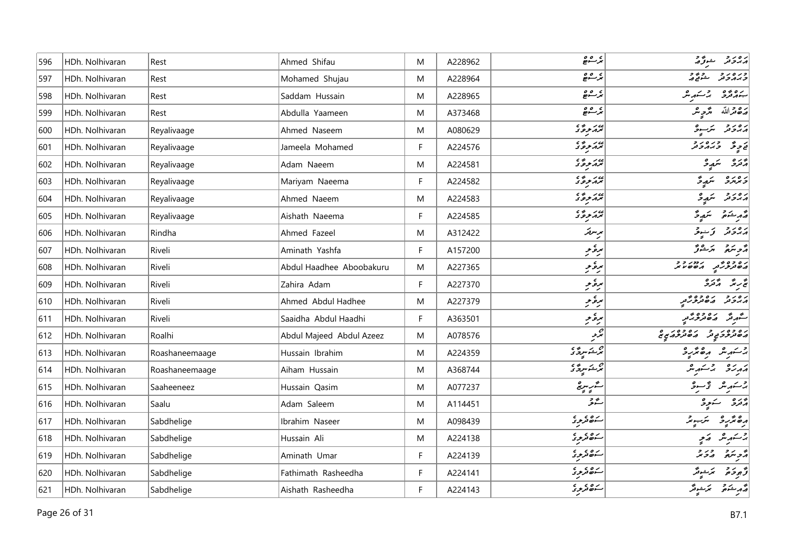| 596 | HDh. Nolhivaran | Rest           | Ahmed Shifau             | M  | A228962 | برعو                                             | دەر دۇر ھۆك                                             |
|-----|-----------------|----------------|--------------------------|----|---------|--------------------------------------------------|---------------------------------------------------------|
| 597 | HDh. Nolhivaran | Rest           | Mohamed Shujau           | M  | A228964 | برعو                                             | و ر ه ر د<br>تر پر تر تر                                |
| 598 | HDh. Nolhivaran | Rest           | Saddam Hussain           | M  | A228965 | برعو                                             | بەدەرە بۇ ئەر                                           |
| 599 | HDh. Nolhivaran | Rest           | Abdulla Yaameen          | M  | A373468 | برعو                                             | ەھىراللە<br>ېژ چه پېژ                                   |
| 600 | HDh. Nolhivaran | Reyalivaage    | Ahmed Naseem             | M  | A080629 | محركة مركز محركة                                 | ړه رو سربوو                                             |
| 601 | HDh. Nolhivaran | Reyalivaage    | Jameela Mohamed          | F. | A224576 | ہے پر دی تا<br>محمد مرکزی                        | و ر ه ر د<br>تر پر پر تر<br>  تع تر تخر                 |
| 602 | HDh. Nolhivaran | Reyalivaage    | Adam Naeem               | M  | A224581 | ں ر<br>بھر پڑھ ی                                 | أزدة سكردة                                              |
| 603 | HDh. Nolhivaran | Reyalivaage    | Mariyam Naeema           | F  | A224582 | یر در در<br>مورگروی                              | ر ه ر ه<br><del>و</del> بربرو<br>سَمِيرَةٌ              |
| 604 | HDh. Nolhivaran | Reyalivaage    | Ahmed Naeem              | M  | A224583 | محركة مركز محركة                                 | پروتر<br>سَمِيرة                                        |
| 605 | HDh. Nolhivaran | Reyalivaage    | Aishath Naeema           | F  | A224585 | <br>  تر تر تر تر د                              | سَمِيرةٌ<br>و مرکز در در در دست به تاریخ<br>در کار در ک |
| 606 | HDh. Nolhivaran | Rindha         | Ahmed Fazeel             | M  | A312422 | برسريتر                                          | رەرو تەنبەتى                                            |
| 607 | HDh. Nolhivaran | Riveli         | Aminath Yashfa           | F  | A157200 | برءً م                                           | ۇ ئەسكە ئەر ئەر                                         |
| 608 | HDh. Nolhivaran | Riveli         | Abdul Haadhee Aboobakuru | M  | A227365 | ىرەً م                                           | נסכס מיניכל<br>הסתבתת הססטת                             |
| 609 | HDh. Nolhivaran | Riveli         | Zahira Adam              | F  | A227370 | ىرەً م                                           | لتجربته وتجرده                                          |
| 610 | HDh. Nolhivaran | Riveli         | Ahmed Abdul Hadhee       | M  | A227379 | ىرەً م                                           | رەر رەدەپر                                              |
| 611 | HDh. Nolhivaran | Riveli         | Saaidha Abdul Haadhi     | F  | A363501 | برة و                                            | شهر ده ده ده در در                                      |
| 612 | HDh. Nolhivaran | Roalhi         | Abdul Majeed Abdul Azeez | M  | A078576 | تحرمه                                            | נס כס קבר הס כס קבר הס<br>גיש מבכת הש מי מי מי הש       |
| 613 | HDh. Nolhivaran | Roashaneemaage | Hussain Ibrahim          | M  | A224359 | م<br>ئىرىشە بىر <i>ى</i> تى ئى                   | جسكريثر وهتربرد                                         |
| 614 | HDh. Nolhivaran | Roashaneemaage | Aiham Hussain            | M  | A368744 | ەر يە ئەسرىچە ئە<br>ئىقسىسىز ئىس                 | سىم ئىسكىمبە<br>مەسكىمبە<br>مەرىبى                      |
| 615 | HDh. Nolhivaran | Saaheeneez     | Hussain Qasim            | M  | A077237 | سەر بىرى<br>ئەس                                  | جەسىمە ھەسىر ئە                                         |
| 616 | HDh. Nolhivaran | Saalu          | Adam Saleem              | M  | A114451 | سەمۇ                                             | ړ ترو کوچ                                               |
| 617 | HDh. Nolhivaran | Sabdhelige     | Ibrahim Naseer           | M  | A098439 | رە ئەربى                                         |                                                         |
| 618 | HDh. Nolhivaran | Sabdhelige     | Hussain Ali              | M  | A224138 | ره ،<br>سوھ ترمو د                               | ج س <sub>ك</sub> ر بكر مدير كريم به                     |
| 619 | HDh. Nolhivaran | Sabdhelige     | Aminath Umar             | F  | A224139 | سەھ قرىرى                                        | ה ביתו הבית                                             |
| 620 | HDh. Nolhivaran | Sabdhelige     | Fathimath Rasheedha      | F  | A224141 | ر 20 <sub>قرم</sub> ر ء<br>سوھ قرمر <sup>ج</sup> | ۇ بەر ئەسىمى ئىشىشى ئىگەن<br>مەسىر                      |
| 621 | HDh. Nolhivaran | Sabdhelige     | Aishath Rasheedha        | F. | A224143 | ر 20 <sub>قرمو</sub> ر                           | دگر شکور کر سونگر                                       |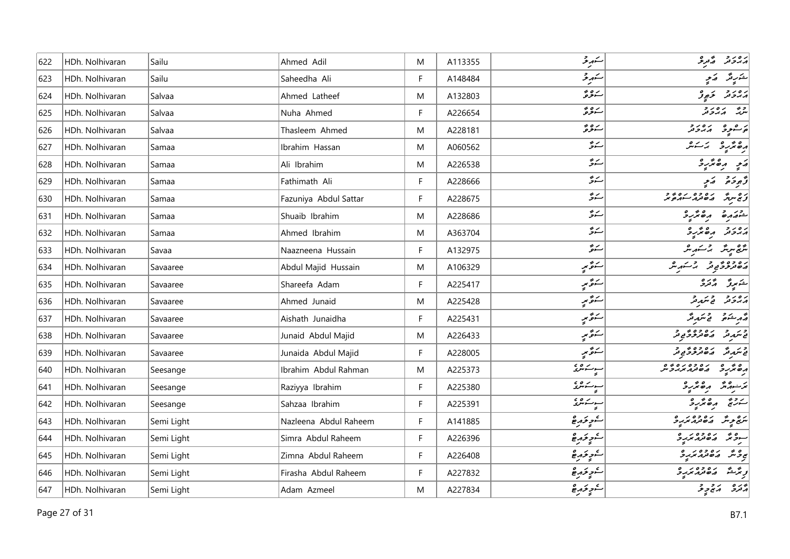| 622 | HDh. Nolhivaran | Sailu      | Ahmed Adil            | M  | A113355 | سەرىتى                      | أرور ويحمدها                                                     |
|-----|-----------------|------------|-----------------------|----|---------|-----------------------------|------------------------------------------------------------------|
| 623 | HDh. Nolhivaran | Sailu      | Saheedha Ali          | F  | A148484 | سەرىۋ                       | شَرِيمٌ   اَدْمِ                                                 |
| 624 | HDh. Nolhivaran | Salvaa     | Ahmed Latheef         | M  | A132803 | سەنەر                       | پره پر د<br>ځېږگر                                                |
| 625 | HDh. Nolhivaran | Salvaa     | Nuha Ahmed            | F  | A226654 | سەنە پە                     | حرم برەر د                                                       |
| 626 | HDh. Nolhivaran | Salvaa     | Thasleem Ahmed        | M  | A228181 | رە بە                       | ېر ۵ په ه<br>په عرب<br>بر 2 ر ح<br>م <i>ر</i> بر <del>د</del> تر |
| 627 | HDh. Nolhivaran | Samaa      | Ibrahim Hassan        | M  | A060562 | ستریخ                       | ە ھەترىر <sup>ە</sup><br>برسەمىر                                 |
| 628 | HDh. Nolhivaran | Samaa      | Ali Ibrahim           | M  | A226538 | ىدىچ                        | أوسم المتحدث                                                     |
| 629 | HDh. Nolhivaran | Samaa      | Fathimath Ali         | F  | A228666 | سەۋ                         | و مرد د<br>و<br>رځ مو                                            |
| 630 | HDh. Nolhivaran | Samaa      | Fazuniya Abdul Sattar | F. | A228675 | سەنچ                        | ره وه ره دو<br>پره توپر سوپر د<br>ۇ ئى سرىگر                     |
| 631 | HDh. Nolhivaran | Samaa      | Shuaib Ibrahim        | M  | A228686 | سەنچ                        | ەرھەترىر <sup>ى</sup><br>شەھەرە                                  |
| 632 | HDh. Nolhivaran | Samaa      | Ahmed Ibrahim         | M  | A363704 | سەنچ                        | مەھمىرى<br>ەرەر ۋ                                                |
| 633 | HDh. Nolhivaran | Savaa      | Naazneena Hussain     | F  | A132975 | ستعظ                        | لترقح سرينش الركسكر بثر                                          |
| 634 | HDh. Nolhivaran | Savaaree   | Abdul Majid Hussain   | M  | A106329 | ئەۋىمە                      | גם כם מה היה היות ייתו ייתו ייתו ייתו ייתו                       |
| 635 | HDh. Nolhivaran | Savaaree   | Shareefa Adam         | F  | A225417 | ئەۋىر                       | ے پر پڑو                                                         |
| 636 | HDh. Nolhivaran | Savaaree   | Ahmed Junaid          | M  | A225428 | ئەۋىر                       | גפיב בתגב                                                        |
| 637 | HDh. Nolhivaran | Savaaree   | Aishath Junaidha      | F. | A225431 | استھریبی                    | وكم مشكور ومتعرف                                                 |
| 638 | HDh. Nolhivaran | Savaaree   | Junaid Abdul Majid    | M  | A226433 | ئەۋىمە                      | כן בית הסיניבל בית<br>בייתול הסיניבל בית                         |
| 639 | HDh. Nolhivaran | Savaaree   | Junaida Abdul Majid   | F  | A228005 | سەۋىمە                      | כן היי היס בסת ב<br>הייתה היישובבת ב                             |
| 640 | HDh. Nolhivaran | Seesange   | Ibrahim Abdul Rahman  | M  | A225373 | اب مەنىۋى<br>پە             | ر ٥ ٥ ٥ ٥ ٥ ٥ ٠<br>د ځ تر د برر تر س                             |
| 641 | HDh. Nolhivaran | Seesange   | Raziyya Ibrahim       | F  | A225380 | اب مەنتەتلەر<br>پە          | ا پر زیره چ<br>سفسر پر<br>ەھ ئۈرۈ                                |
| 642 | HDh. Nolhivaran | Seesange   | Sahzaa Ibrahim        | F. | A225391 | بەسەتىر                     | سترجيح<br>ە ھەمەر 2<br>بەھەمەر 2                                 |
| 643 | HDh. Nolhivaran | Semi Light | Nazleena Abdul Raheem | F. | A141885 | ر<br>سنوپو تر مربع          | ره وه ره و<br>پره تربر تر<br>ىئەنج مېرىتر                        |
| 644 | HDh. Nolhivaran | Semi Light | Simra Abdul Raheem    | F. | A226396 | ر<br>سنوپخ مربع             | ره وه ر <sub>و</sub> ه<br>مەھىرمە تىرىر<br>اسوقیمتر<br>پ         |
| 645 | HDh. Nolhivaran | Semi Light | Zimna Abdul Raheem    | F. | A226408 | ء<br>په دې پر ه             | ره وه ر<br>پره تربر تربر و<br>ىبوۋىتر                            |
| 646 | HDh. Nolhivaran | Semi Light | Firasha Abdul Raheem  | F  | A227832 | ر<br>سنوپخ <sup>و</sup> ر ج | קס כם ק"קס<br>ג'סינו <i>ג יג</i> ב                               |
| 647 | HDh. Nolhivaran | Semi Light | Adam Azmeel           | M  | A227834 | شويخ مرقح                   | ړره د پړې                                                        |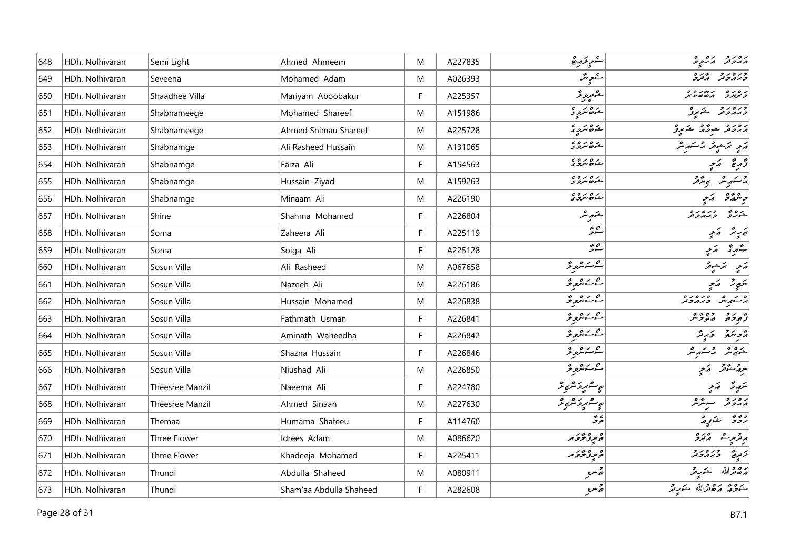| 648 | HDh. Nolhivaran | Semi Light             | Ahmed Ahmeem            | M  | A227835 | سكو يحرم هج                             | رەرد رەرو                                                                                                                                                                                                                                                                                                                                                       |
|-----|-----------------|------------------------|-------------------------|----|---------|-----------------------------------------|-----------------------------------------------------------------------------------------------------------------------------------------------------------------------------------------------------------------------------------------------------------------------------------------------------------------------------------------------------------------|
| 649 | HDh. Nolhivaran | Seveena                | Mohamed Adam            | M  | A026393 | ء<br>سنو <sub>ء</sub> مٿر               | وره رو په ره<br><i>وبرم</i> ونر م <i>ې</i> رو                                                                                                                                                                                                                                                                                                                   |
| 650 | HDh. Nolhivaran | Shaadhee Villa         | Mariyam Aboobakur       | F  | A225357 | ے در <sub>ی</sub> تر                    | 77777<br>ر ه ر ه<br><del>ر</del> بربرو                                                                                                                                                                                                                                                                                                                          |
| 651 | HDh. Nolhivaran | Shabnameege            | Mohamed Shareef         | M  | A151986 | ا شەھ ئىزى <sub>چە</sub> ئ              | ورەرو شەرو                                                                                                                                                                                                                                                                                                                                                      |
| 652 | HDh. Nolhivaran | Shabnameege            | Ahmed Shimau Shareef    | M  | A225728 | شەھ سرىي ئ                              |                                                                                                                                                                                                                                                                                                                                                                 |
| 653 | HDh. Nolhivaran | Shabnamge              | Ali Rasheed Hussain     | M  | A131065 | شەھ سرچ ئ                               | ر<br>رکو برخونز برگرمر                                                                                                                                                                                                                                                                                                                                          |
| 654 | HDh. Nolhivaran | Shabnamge              | Faiza Ali               | F  | A154563 | ر <i>ە</i> رە ،<br>شەھ سرچ <sub>ك</sub> | $\frac{1}{2} \sum_{i=1}^{n} \frac{1}{2} \sum_{j=1}^{n} \frac{1}{2} \sum_{j=1}^{n} \frac{1}{2} \sum_{j=1}^{n} \frac{1}{2} \sum_{j=1}^{n} \frac{1}{2} \sum_{j=1}^{n} \frac{1}{2} \sum_{j=1}^{n} \frac{1}{2} \sum_{j=1}^{n} \frac{1}{2} \sum_{j=1}^{n} \frac{1}{2} \sum_{j=1}^{n} \frac{1}{2} \sum_{j=1}^{n} \frac{1}{2} \sum_{j=1}^{n} \frac{1}{2} \sum_{j=1}^{n$ |
| 655 | HDh. Nolhivaran | Shabnamge              | Hussain Ziyad           | M  | A159263 | شەھ سرچ ي                               | جر سکر مگر می مرکز<br>مرسکر مگر مگر مگر                                                                                                                                                                                                                                                                                                                         |
| 656 | HDh. Nolhivaran | Shabnamge              | Minaam Ali              | M  | A226190 | شەھ سرچ ي                               | $\frac{1}{2}$ $\frac{1}{2}$ $\frac{1}{2}$ $\frac{1}{2}$ $\frac{1}{2}$                                                                                                                                                                                                                                                                                           |
| 657 | HDh. Nolhivaran | Shine                  | Shahma Mohamed          | F  | A226804 | ڪورنگر                                  | وره رو<br>وبروتونو<br>ر <i>ه و</i> پخ                                                                                                                                                                                                                                                                                                                           |
| 658 | HDh. Nolhivaran | Soma                   | Zaheera Ali             | F  | A225119 | مشوسح                                   | ىئ پەش ھەمچە                                                                                                                                                                                                                                                                                                                                                    |
| 659 | HDh. Nolhivaran | Soma                   | Soiga Ali               | F. | A225128 | حيو                                     | بثورة<br>ەئە                                                                                                                                                                                                                                                                                                                                                    |
| 660 | HDh. Nolhivaran | Sosun Villa            | Ali Rasheed             | M  | A067658 | 2 سەمبىرى <i>م</i> ۇ                    | ر<br>كەنچە ئىم ئىشونل                                                                                                                                                                                                                                                                                                                                           |
| 661 | HDh. Nolhivaran | Sosun Villa            | Nazeeh Ali              | M  | A226186 | 2 سەمب <sub>ىرى</sub> ئە                | ترې تر کمنې کې ترک <u>ې ل</u>                                                                                                                                                                                                                                                                                                                                   |
| 662 | HDh. Nolhivaran | Sosun Villa            | Hussain Mohamed         | M  | A226838 | <u>شر ئەشرىر ئۇ</u>                     |                                                                                                                                                                                                                                                                                                                                                                 |
| 663 | HDh. Nolhivaran | Sosun Villa            | Fathmath Usman          | F  | A226841 | <u>مىم ئەمىرو ئ</u> ە                   | ژوده دوده                                                                                                                                                                                                                                                                                                                                                       |
| 664 | HDh. Nolhivaran | Sosun Villa            | Aminath Waheedha        | F  | A226842 | التزينة عرورمح                          | أأروسكم وكالمحمد                                                                                                                                                                                                                                                                                                                                                |
| 665 | HDh. Nolhivaran | Sosun Villa            | Shazna Hussain          | F  | A226846 | <u>م ئە</u> ئەھرىم                      | شوى ئىر ئەسكىرىش                                                                                                                                                                                                                                                                                                                                                |
| 666 | HDh. Nolhivaran | Sosun Villa            | Niushad Ali             | M  | A226850 | استشكرهم                                | سرە ئىشتى ئەستى                                                                                                                                                                                                                                                                                                                                                 |
| 667 | HDh. Nolhivaran | <b>Theesree Manzil</b> | Naeema Ali              | F  | A224780 | مەسىمە ئەشرىر قر                        | شمەق م <sup>ى</sup> چ                                                                                                                                                                                                                                                                                                                                           |
| 668 | HDh. Nolhivaran | <b>Theesree Manzil</b> | Ahmed Sinaan            | M  | A227630 | مەسىمە ئەشرى                            | رەرىر سىشھ                                                                                                                                                                                                                                                                                                                                                      |
| 669 | HDh. Nolhivaran | Themaa                 | Humama Shafeeu          | F  | A114760 | ج حج<br>حو                              | دومو په دول                                                                                                                                                                                                                                                                                                                                                     |
| 670 | HDh. Nolhivaran | Three Flower           | Idrees Adam             | M  | A086620 | ە بېرى <i>ز مۇغ</i> بىر                 | ەرتىرىيە ئەرە                                                                                                                                                                                                                                                                                                                                                   |
| 671 | HDh. Nolhivaran | Three Flower           | Khadeeja Mohamed        | F  | A225411 | ە بېرىز ئۆتۈپر                          | و پر و پر و<br><i>د بر</i> کر تر<br>  ترْمَدِيَّ                                                                                                                                                                                                                                                                                                                |
| 672 | HDh. Nolhivaran | Thundi                 | Abdulla Shaheed         | M  | A080911 | احمسعر                                  | مَ قَدْ اللّه شَوَرِ قَدْ                                                                                                                                                                                                                                                                                                                                       |
| 673 | HDh. Nolhivaran | Thundi                 | Sham'aa Abdulla Shaheed | F  | A282608 | قحرسعر                                  | شَوَرَ رَصْحَرَاللّه شَرِيرَ                                                                                                                                                                                                                                                                                                                                    |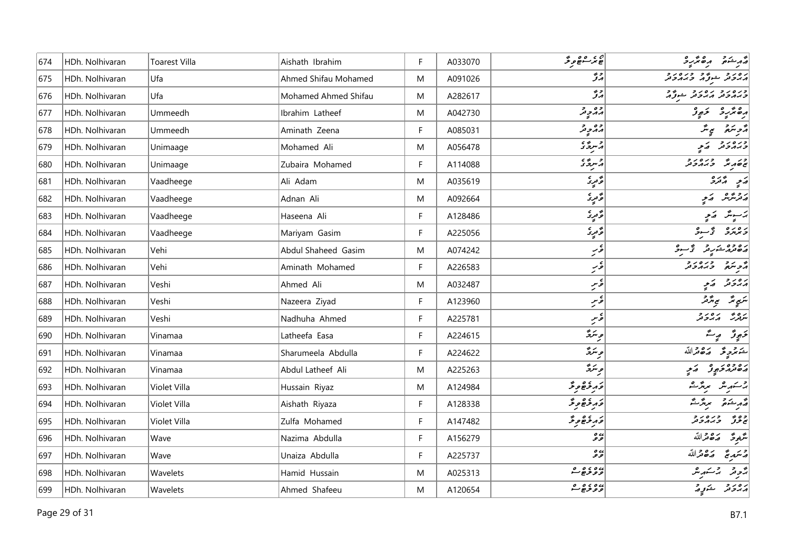| 674 | HDh. Nolhivaran | <b>Toarest Villa</b> | Aishath Ibrahim      | F           | A033070 | م بر عده عروجة<br>مع       |                                               |
|-----|-----------------|----------------------|----------------------|-------------|---------|----------------------------|-----------------------------------------------|
| 675 | HDh. Nolhivaran | Ufa                  | Ahmed Shifau Mohamed | M           | A091026 | دبج                        | رەر د شوگه درەر د                             |
| 676 | HDh. Nolhivaran | Ufa                  | Mohamed Ahmed Shifau | M           | A282617 | دوسمح                      | כנסנב נסנב להתר                               |
| 677 | HDh. Nolhivaran | Ummeedh              | Ibrahim Latheef      | M           | A042730 | وە دەتر                    | رەئزىر ئېر                                    |
| 678 | HDh. Nolhivaran | Ummeedh              | Aminath Zeena        | F           | A085031 | ر ه ه د د                  | أأرد الملح المحمد المحمد المحمد               |
| 679 | HDh. Nolhivaran | Unimaage             | Mohamed Ali          | M           | A056478 | د<br>مسرچۍ                 | ورەرو كې                                      |
| 680 | HDh. Nolhivaran | Unimaage             | Zubaira Mohamed      | F           | A114088 | د<br>مسرچۍ                 | 37073 2762                                    |
| 681 | HDh. Nolhivaran | Vaadheege            | Ali Adam             | ${\sf M}$   | A035619 | ۇ<br>قرىمىي                | ړې پرتره                                      |
| 682 | HDh. Nolhivaran | Vaadheege            | Adnan Ali            | ${\sf M}$   | A092664 | ۇ<br>ق <sub>ى</sub> مېرى   | ە ئەشرىش كەيچ                                 |
| 683 | HDh. Nolhivaran | Vaadheege            | Haseena Ali          | F           | A128486 | ر<br>حرکري                 | پرسېد پرېږ                                    |
| 684 | HDh. Nolhivaran | Vaadheege            | Mariyam Gasim        | F           | A225056 | ۇ<br>ق <sub>ى</sub> مېرى   |                                               |
| 685 | HDh. Nolhivaran | Vehi                 | Abdul Shaheed Gasim  | M           | A074242 | ء<br>حرسہ                  | גە כە ג.<br>גەגג בניקי - צ                    |
| 686 | HDh. Nolhivaran | Vehi                 | Aminath Mohamed      | F           | A226583 | ء<br>حرسہ                  | 21012 212                                     |
| 687 | HDh. Nolhivaran | Veshi                | Ahmed Ali            | M           | A032487 | ءَ بر                      | پرور و کرمی                                   |
| 688 | HDh. Nolhivaran | Veshi                | Nazeera Ziyad        | F           | A123960 | ء<br>حرسر                  | سَمِهِ مَدَّ سِرْتَر                          |
| 689 | HDh. Nolhivaran | Veshi                | Nadhuha Ahmed        | F           | A225781 | ء<br>حرمر                  | برەپ پەر دە                                   |
| 690 | HDh. Nolhivaran | Vinamaa              | Latheefa Easa        | F           | A224615 | عريتمد                     | كَيْفِرْدُ - مِيْ تُ                          |
| 691 | HDh. Nolhivaran | Vinamaa              | Sharumeela Abdulla   | F           | A224622 | حريئرقخ                    | ڪ <i>مگرچ گھ مگ</i> الله                      |
| 692 | HDh. Nolhivaran | Vinamaa              | Abdul Latheef Ali    | M           | A225263 | عريترقح                    | ره ده د کرد و د کرد<br>مان معرور کرد در م     |
| 693 | HDh. Nolhivaran | Violet Villa         | Hussain Riyaz        | M           | A124984 | عەمرىخى ھوىڅە              | ج <sup>ر</sup> شهر شهر مرتز شهر<br>مرتبه مرتب |
| 694 | HDh. Nolhivaran | Violet Villa         | Aishath Riyaza       | $\mathsf F$ | A128338 | ءَ ٻر ٿو ڇو ٿُر            | ة مرشور مرش <del>د.</del><br>مدير مرش         |
| 695 | HDh. Nolhivaran | Violet Villa         | Zulfa Mohamed        | F           | A147482 | لتزرع قوقر                 | وه وره رو<br>محرق وبرمرونر                    |
| 696 | HDh. Nolhivaran | Wave                 | Nazima Abdulla       | F           | A156279 | ړه<br>حرچ                  | <i>سَّرْفُرِجَّة مَرْهَ قَرْ</i> اللَّهُ      |
| 697 | HDh. Nolhivaran | Wave                 | Unaiza Abdulla       | F           | A225737 | ءه ه<br>  حرح              | صنعديج صقعدالله                               |
| 698 | HDh. Nolhivaran | Wavelets             | Hamid Hussain        | M           | A025313 | ، <i>، ه ، ه ره</i>        | بر دیگر برگسر میں<br>ایکویٹر برگسر            |
| 699 | HDh. Nolhivaran | Wavelets             | Ahmed Shafeeu        | ${\sf M}$   | A120654 | ړ <u>، ه د ه</u><br>وونو ه | برەر د شرور                                   |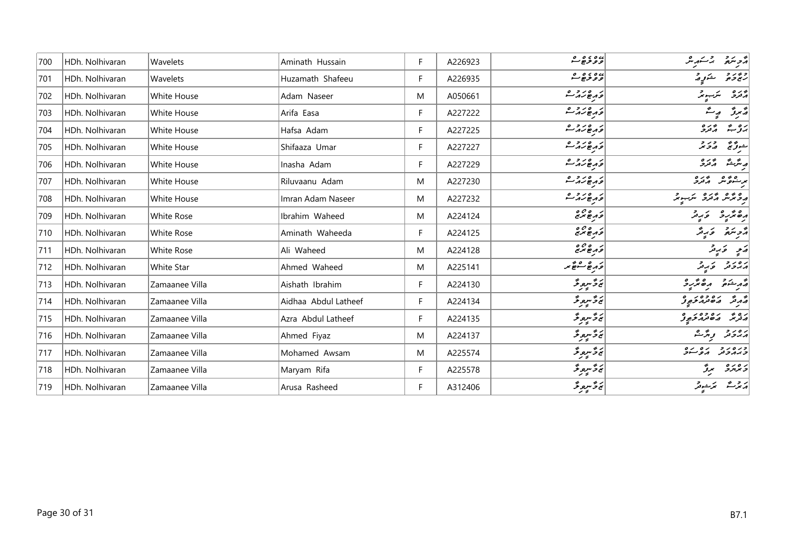| 700 | HDh. Nolhivaran | Wavelets           | Aminath Hussain      | F. | A226923 | ، <i>، ه ، ه ره</i>                                                 | بر ئەمەر بىر<br>  پر د سرچ                           |
|-----|-----------------|--------------------|----------------------|----|---------|---------------------------------------------------------------------|------------------------------------------------------|
| 701 | HDh. Nolhivaran | Wavelets           | Huzamath Shafeeu     | F  | A226935 | ۵ ۵ ۵ ۵ ۵ م                                                         | ژیځ تر و<br>شتورژ                                    |
| 702 | HDh. Nolhivaran | White House        | Adam Naseer          | M  | A050661 | ەرەر ئەر                                                            | پژ <sub>مر</sub> ه<br>  پژمزو<br>ىئەسىرىر            |
| 703 | HDh. Nolhivaran | <b>White House</b> | Arifa Easa           | F  | A227222 | ەرەر ئەر                                                            | ا پر سورتر<br>ا<br>ریده                              |
| 704 | HDh. Nolhivaran | White House        | Hafsa Adam           | F  | A227225 | ەرەر ئەر                                                            | پەرە<br>مەنىرو<br>  پرویے                            |
| 705 | HDh. Nolhivaran | <b>White House</b> | Shifaaza Umar        | F  | A227227 | 272010                                                              | شوتر گنج<br>ەرىر                                     |
| 706 | HDh. Nolhivaran | <b>White House</b> | Inasha Adam          | F  | A227229 | ەرەر ئەر                                                            | ەر ئىرىشە<br>ەرگەر                                   |
| 707 | HDh. Nolhivaran | <b>White House</b> | Riluvaanu Adam       | M  | A227230 | ر مع <i>زې</i> ر مه                                                 | برىشەھ شەرە                                          |
| 708 | HDh. Nolhivaran | White House        | Imran Adam Naseer    | M  | A227232 | ەرەر ئەر                                                            | ره و پره پره برب                                     |
| 709 | HDh. Nolhivaran | <b>White Rose</b>  | Ibrahim Waheed       | M  | A224124 | $rac{1}{2}$                                                         | رە ئرىر ئىرىر                                        |
| 710 | HDh. Nolhivaran | <b>White Rose</b>  | Aminath Waheeda      | F  | A224125 | ر وه ه<br>ورځ نرې                                                   | أترو سكاته التحامية فكر                              |
| 711 | HDh. Nolhivaran | <b>White Rose</b>  | Ali Waheed           | M  | A224128 | $\begin{vmatrix} 0 & 0 & 0 \\ 0 & 0 & 0 \\ 0 & 0 & 0 \end{vmatrix}$ | أەسمج كار و                                          |
| 712 | HDh. Nolhivaran | <b>White Star</b>  | Ahmed Waheed         | M  | A225141 | ءَ ٻه ڇُ ڪيءَ س                                                     | دەر د پر د                                           |
| 713 | HDh. Nolhivaran | Zamaanee Villa     | Aishath Ibrahim      | F  | A224130 | ئ ۇ سرە ئۇ<br>,,                                                    | أحمد شنعتى المتحكم برد                               |
| 714 | HDh. Nolhivaran | Zamaanee Villa     | Aidhaa Abdul Latheef | F  | A224134 | ئە ئەسپە ئە                                                         | و ده ده ده ده د و                                    |
| 715 | HDh. Nolhivaran | Zamaanee Villa     | Azra Abdul Latheef   | F  | A224135 | ئ <sub>ە</sub> ئەس <sub>ى</sub> بو ئە                               | ر ٥ ۶ ٥ ٥ ٠<br>د ځ تر د څه و<br>  پر چ<br>  پر فرنگر |
| 716 | HDh. Nolhivaran | Zamaanee Villa     | Ahmed Fiyaz          | M  | A224137 | ئە ئەسپە ئە                                                         | دەرو پەرگ                                            |
| 717 | HDh. Nolhivaran | Zamaanee Villa     | Mohamed Awsam        | M  | A225574 | ئ ۇ سرە ئۇ<br>╭                                                     | ورەرو رەررە                                          |
| 718 | HDh. Nolhivaran | Zamaanee Villa     | Maryam Rifa          | F  | A225578 | ئ <sub>ە</sub> ئەس <sub>ى</sub> بو ئە                               | ئەنگەر ئ<br>ىجزى                                     |
| 719 | HDh. Nolhivaran | Zamaanee Villa     | Arusa Rasheed        | F  | A312406 | ئ قر سرجر قرّ<br>╭                                                  | أركر تركيب مركب وتر                                  |